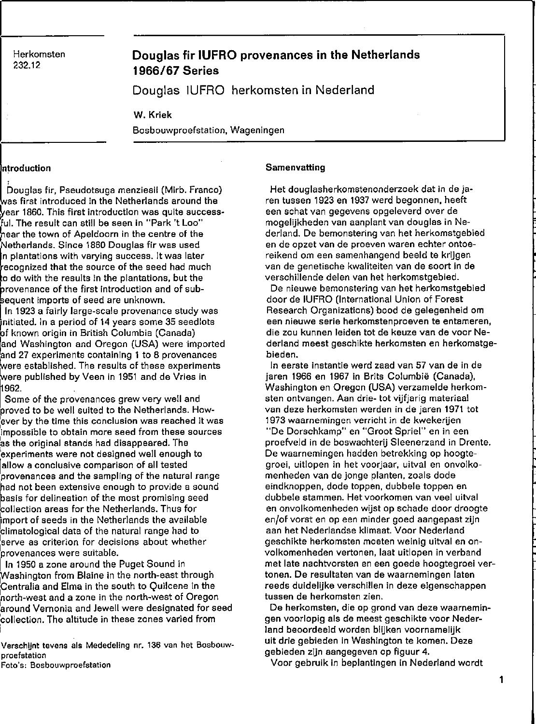**Herkomsten** 

## 232.12 **Douglas fir IUFRO provenanees in the Netherlands 1966/67 Series**

Douglas IUFRO herkomsten in Nederland

W. Kriek

**Bosbouwproefstation, Wageningen** 

#### Introduction

 $\overline{\phantom{a}}$ bouglas lir, Pseudotsuga menziesii (Mirb. Franco) as lirst introduced in the Netherlands around the ~ear **1860. This first introduction was quite** success~ ful. The result can still be seen in "Park 't Loo" rear the town of Apeldoorn in the centre ol the Netherlands. Since 1860 Douglas tir was used **n plantations with varying success. It was later**  recognized that the source of the seed had much o do with the results in the plantatlons, but the brovenance of the first introduction and of subequent Imports of seed are unknown.

In 1923 a fairly large-scale provenance study was initiated. In a period of 14 years some 35 seedlots bf known origin in British Columbia (Canada) and Washington and Oregon (USA) were imported and 27 experiments containing 1 to 8 provenances were established. The results of these experiments were published by Veen in 1951 and de Vries in 1962.

Some of the provenances grew very well and<br>proved to be well suited to the Netherlands. How-Some of the provenanees grew very weil and **:ever by the time this conclusion was reached it was impossible to obtain more seed from these souroes**  'as the original stands had disappeared. The **'experiments were not designed weil enough to [allow a conclusive comparison of all tested provenanees and the sampling of the natural range rad not been extensive enough to provide 8 sound easis for delineation of the most promising seed**  collection areas for the Netherlands. Thus for import of seeds in the Netherlands the available climatological data of the natural range had to **:serve as criterion for decisions about whether provenances** we re **suitable.** 

In 1950 a zone around the Puget Sound in Washington from Blaine in the north-east through Centralia and Elma in the south to Quilcene in the Inorth-west and a zone in the north-west of Oregon 'around Vernonia and Jewell were designated for seed 'collection. The altitude in these zones varied from

**Verschijnt tevens als Mededeling nr. 136 van het Bosbouwproefstation** 

**Foto's: Bosbouwproefstation** 

### **Samenvatting**

Het douglasherkomstenonderzoek dat in de jaren tussen 1923 en 1937 werd begonnen, heeft **een schat van gegevens opgeleverd over de**  mogelijkheden van aanplant van douglas in Nederland. De bemonstering van het herkomstgebied **en de opzet van de proeven waren echter ontoe**reikend om een samenhangend beeld te krijgen **van de genetische kwaliteiten van de soort in de**  verschillende delen van het herkomstgebied.

De nieuwe bemonstering van het herkomstgebied door de IUFRO (International Union of Forest Research Organizations) bood de gelegenheid om een nieuwe serie herkomstenproeven te entameren, **die zou kunnen leiden tot de keuze van de voor Ne**derland meest geschikte herkomsten en herkomstgebieden.

**In eerste instantie werd zaad van 57 van de in de**  jaren 1966 en 1967 in Brits Columbië (Canada), Washington en Oregon (USA) verzamelde herkom**sten ontvangen. Aan drie- tot vijfjarig materiaal van deze herkomsten werden in de jaren 1971 tot 1973 waarnemingen verricht in de kwekerijen**  "De Dorschkamp" en "Groot Spriel" en in een proefveld in de boswachterij Sleenerzand in Drente. De waarnemingen hadden betrekking op hoogte**groei, uitlopen in het voorjaar, uitval en onvolko**menheden van de jonge planten, zoals dode eind knop pen, dode toppen, dubbele toppen en **dubbele stammen. Het voorkomen van veel uitval**  en onvolkomenheden wijst op schade door droogte **en/of vorst en op een minder goed aangepast zijn**  aan het Nederlandse klimaat. Voor Nederland geschikte herkomsten moeten weinig uitval en onvolkomenheden vertonen, laat uitlopen in verband met late nachtvorsten en een goede hoogtegroei vertonen. De resultaten van de waarnemingen laten reeds duidelijke verschillen in deze eigenschappen **tussen de herkomsten zien.** 

**De herkomsten, die op grond van deze waarnemin**gen voorlopig als de meest geschikte voor Nederland beoordeeld worden blijken voornamelijk **uit drie geb'ieden in Washington te komen. Deze gebieden zijn aangegeven op figuur 4.** 

Voor gebruik in beplantingen in Nederland wordt

1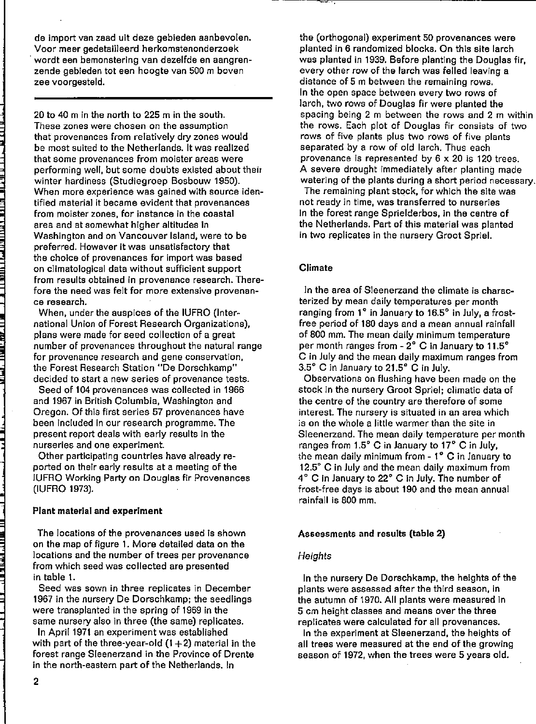de import van zaad uit deze gebieden aanbevolen. Voor meer gedetailleerd herkomstenonderzoek . wordt een bemonstering van dezelfde en aangrenzende gebieden tot een hoogte van 500 m boven zee voorgesteld.

20 to 40 m in the north to 225 m in the south. **These zones were chosen on the assumption**  that provenanees from relatively dry zones would be most suited to the Netherlands. It was realized th at **some provenanees from rnoister areas were**  performing well, but some doubts existed about their winter hardiness (Studiegroep Bosbouw 1950). When more experience was gained with source iden**tified material it became evident that provenanees from meister zones, for instanee in the coastal**  area and at somewhat higher altitudes in Washington and on Vancouver Island, were to be preferred. However it was unsatisfactory that **the choice of provenanees for import was based**  on climatological data without sufficient support **from results obtained in provenanee research. Therefore the need was feit for more extensive provenance research.** 

When, under the auspices of the IUFRO (International Union of Forest Research Organizations), plans were made for seed collection of a great number of provenances throughout the natural range **for provenanee research and gene conservation,**  the Forest Research Station "De Dorschkamp" **decided ta start a new series of provenanee tests.** 

Seed of 104 provenanees was collected in 1966 and 1967 in British Columbia, Washington and Oregon. Of this first series 57 provenances have been included in our research programme. The present report deals with early results in the **nurseries and one experiment.** 

Other participating countries have already reported on their early results at a meeting of the IUFRO Working Party on Douglas fir Provenanees (IUFRO 1973).

## Plant material and experiment

The locations of the provenanees used is shown on the map of figure 1. More detailed data on the **locations and the number of trees per provenance**  from which seed was collected are presented in table 1.

**Seed was sown in three replicates in December**  1967 in the nursery De Dorschkamp; the seedlings were transplanted in the spring of 1969 in the same nursery also in three (the same) replicates.

In April 1971 an experiment was established with part of the three-year-old  $(1+2)$  material in the forest range Sleenerzand in the Province of Drente in the north-eastern part of the Netherlands. In

the (orthogonal) experiment 50 provenanees were planted in 6 randomized blocks. On this site larch was planted in 1939. Before planting the Douglas fir, every other row of the larch was felled leaving a **distance of 5 m between the remaining rows.**  In the open space between every two rows of larch, two rows of Douglas fir were planted the spacing being 2 m between the rows and 2 m within the rows. Each plot of Douglas fir consists of two rows of five plants plus two rows of five plants separated by a row of old lareh. Thus each provenanee is represented by 6 x 20 is 120 trees. A severe drought immediately after planting made watering of the plants during a short period necessary.

The remaining plant stock, for which the site was **not ready in time, was transferred to nurseries**  In the forest range Sprielderbos, in the centre of the Netherlands. Part of this material was planted in two replicates in the nursery Groot Spriel.

## Climate

In the area of Sleenerzand the climate is charac**terized by mean daily temperatures per month**  ranging from 1° in January to 16.5° in July, a frostfree period of 180 days and a mean annual rainfall of 800 mm. The mean daily minimum temperature per month ranges from - 2° C in January to 11.5° C in July and the mean daily maximum ranges from 3.5° C in January to 21.5° C in July.

Observations on flushing have been made on the stock in the nursery Groot Spriel; climatic data of the centre of the country are therefore of some **interest. The nursery is situated in an area which**  is on the whole a littie warmer than the site in Sleenerzand. The mean daily temperature per month ranges from 1.5° C in January to 17° C in July, the mean daily minimum from - 1° C in January to 12.5" C in July and the mean daily maximum from 4 ° C in January to 22° C In July. The number of frost-free days is about 190 and the mean annual  $rainfall$  is  $800$  mm.

## Assessments and results (table 2)

## **Heights**

In the nursery De Dorschkamp, the heights of the **plants were assessed after the third season, in**  the autumn of 1970. All plants were measured in 5 cm height classes and means over the three replicates were calculated for all provenances.

In the experiment at Sleenerzand, the heights of all trees were measured at the end of the growing season of 1972, when the trees were 5 years old.

<u>uit militi paire a le se telle</u>

, 1999, 1999, 1999, 1999, 1999, 1999, 1999, 1999, 1999, 1999, 1999, 1999, 1999, 1999, 1999, 1999, 1999, 1999,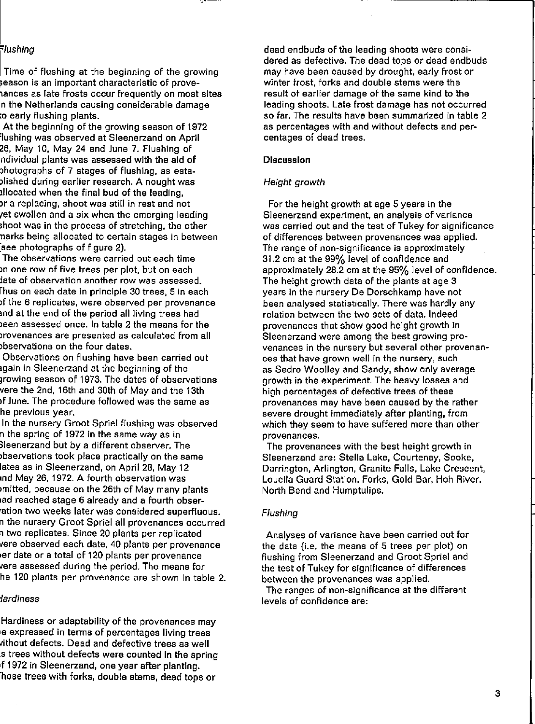## =/ush/ng

Time of flushing at the beginning of the growing **,eason is an important characteristic of prove**lances as late frosts occur frequentlyon most sites n the Netherlands causlng conslderable damage :0 early flushing plants.

At the beginning of the growing season of 1972 'lushing was observed at Sleenerzand on April 26, May 10, May 24 and June 7. Flushing of ndividual plants was assessed with the aid of >hotographs of 7 stages of flushing, as esta- ,lished durlng earlier research. A nought was lliocated when the flnal bud of the leadlng, **)r a replacing, shoot was still in rest and not**  et swollen and a six when the emerging leading .hoot was In the process of stretchlng, the other narks belng allocated to certaln stages In between :see photographs of flgure 2).

**The observations were carried out each time >n one row of five trees per plot. but on each iate of observatien another row was assessed.**  rh us on each date In principle 30 trees, 5 In each **)f the 6 replicates, were observed per provenanee**  md at the end of the perlod all living trees had een assessed once. In table 2 the means for the **lrovenances are presented as calculated from all >bservations on the four dates.** 

Observations on flushing have been carried out .galn In Sleenerzand at the beginning of the Jrowlng season of 1973. The dates of observations vere the 2nd, 16th and 30th of May and the 13th )f June. The procedure followed was the same as **he previous year.** 

In the nursery Groot Spriel flushing was observed n the spring of 1972 In the same way as In lleenerzand but by a different observer. The bservations took place practically on the same lates as In Sleenerzand, on April 28, May 12 ,"d May 26, 1972. A fourth observation was )mllted, because on the 26th of May many plants lad reached stage 6 already and a fourth obser- 'atlon two weeks later was consldered superfluous. **n the nursery Groot Spriel all provenanees occurred**  , two replicates. Since 20 plants per repllcated vere observed each date, 40 plants per provenance ,er date or a total of 120 plants per provenance 'ere assessed durlng the perlod. The means for he 120 plants per provenanee are shown In table 2.

#### **1ardiness**

Hardiness or adaptability of the provenances may Ie **expressed in terms of percentages living trees**  vithout defects. Dead and defective trees as well s trees without defects were counted in the spring ,f 1972 In Sleenerzand, one year after planting. 'hose trees wlth forks, double sterns, dead tops or

dead endbuds of the leadlng shoots were consIdered as defective. The dead tops or dead endbuds may have been caused by drought, early frost or winter frost, forks and double stems were the result of earlier damage of the same kind to the leading shoots. Late frost damage has not occurred so far. The results have been summarized in table 2 **as percentages with and without defects and per**centages 0; dead trees.

#### **Discussion**

## Height growth

For the height growth at age 5 years in the **Sleenerzand experiment, an analysis of varianee**  was carried out and the test of Tukey for significance **of differences between provenanees was applied. The range of non-significance is approximately**  31.2 cm at the 99% level of eonfldence and approxlmately 28.2 em at the 95% level of confldence. The height growth data of the plants at age 3 years in the nursery De Dorschkamp have not been analysed statistically. There was hardly any relation between the two sets of data. Indeed provenanees that show good helght growth In Sleenerzand were among the best growing pro**venanees in the nursery but several other provenanees that have grown weil in the nursery, such**  as Sedro Woolley and Sandy, show only average growth in the experiment. The heavy losses and high percentages of defective trees of these provenanees may have been caused by the rather severe drought immediately after planting, from which they seem to have suffered more than other **provenances.** 

The provenances with the best height growth in Sleenerzand are, Stella Lake, Courtenay, Sooke, Darrington, Arlington, Granite Falls, Lake Crescent, Louella Guard Station, Forks, Gold Bar, Hoh Rlver, North Bend and Humptulips.

### Flushing

**Analyses of** varia nee **have been carried out for**  the data (i.e. the means of 5 trees per plot) on flushing from Sleenerzand and Groot Spriel and the test of Tukey for significance of differences between the provenanees was applied.

**The ranges of non-significance at the different levels of confidence are:**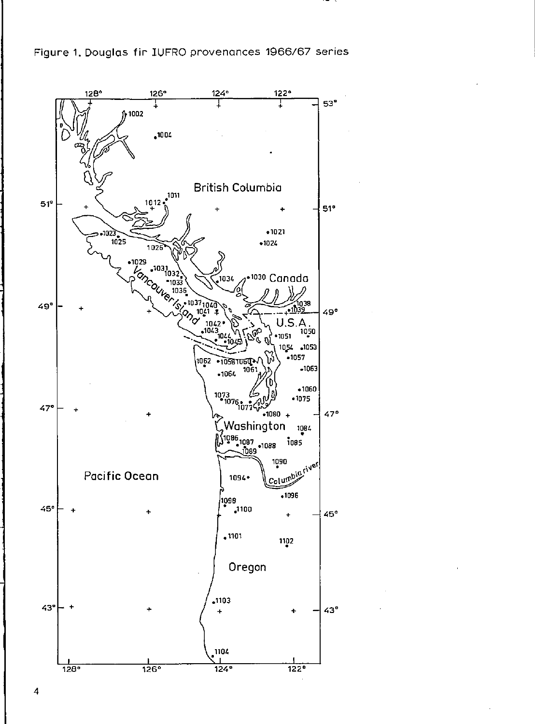Figure 1. Douglas fir IUFRO provenances 1966/67 series

. . . .



 $\overline{4}$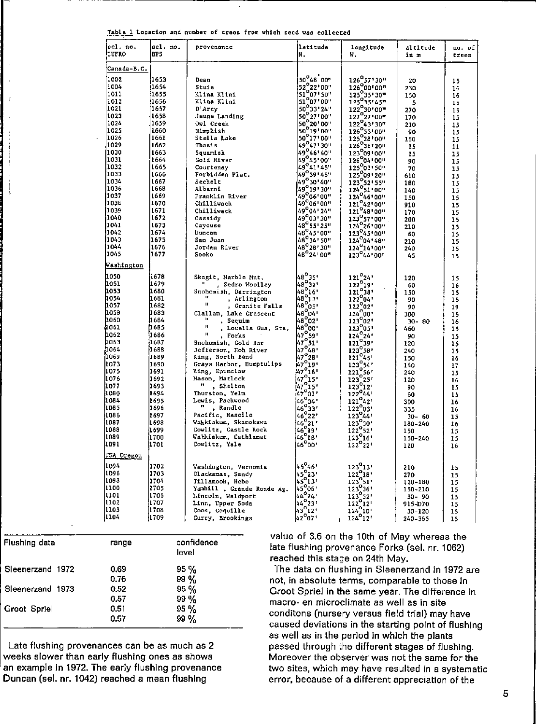|       |  |  |  |  |  | Table 1 Location and number of trees from which seed was collected |
|-------|--|--|--|--|--|--------------------------------------------------------------------|
| _____ |  |  |  |  |  |                                                                    |

| sel. no.<br><b>I</b> lufro | sel. no.<br><b>BPS</b> | provenance                             | latitude<br>ln.                                                                                                            | longitude<br>И.                                                                                              | altitude<br>in m | no, of<br>trees |
|----------------------------|------------------------|----------------------------------------|----------------------------------------------------------------------------------------------------------------------------|--------------------------------------------------------------------------------------------------------------|------------------|-----------------|
| Canada-B.C.                |                        |                                        |                                                                                                                            |                                                                                                              |                  |                 |
| 1002                       | 1653                   | Dean                                   | 50°48 00'                                                                                                                  | 126°57'30"                                                                                                   | 20               | 15              |
| 1004                       | 1654                   | Stuie                                  | 52 22 00"                                                                                                                  | $126 - 57730o$<br>126°00100"<br>125°35130"<br>125°35145"<br>122°30'00"                                       | 230              | 16              |
| 1011                       | 1655                   | Klina Klini                            | $\begin{bmatrix} 32 & 22 & 100 \\ 51 & 07 & 50 \\ 51 & 07 & 00 \\ 50 & 33 & 24 \end{bmatrix}$                              |                                                                                                              | 150              | 16              |
| 1012                       | 1656                   | Klina Klini                            |                                                                                                                            |                                                                                                              | 5                | 15              |
| 1021                       | 1657                   | D'Arcy                                 |                                                                                                                            |                                                                                                              | 270              | 15              |
| 1023                       | 1658                   | Jeune Landing                          | 50 27 00                                                                                                                   | $127^{\circ}27^{\circ}00^{\circ}$                                                                            | 170              | 15              |
| 1024                       | 1659                   | Owl Creek                              | $\begin{array}{c}\n 50^{\circ}20^{1}00'' \\  50^{\circ}19^{1}00''\n \end{array}$                                           | $127^{0}43'30''$<br>$126^{0}53'00''$<br>$125^{0}28'00''$                                                     | 210              | 15              |
| 1025                       | 1660                   | Nimokish                               |                                                                                                                            |                                                                                                              | 90               | 15              |
| 1026                       | 1661                   | Stella Lake                            | $50^{\circ}17.00$                                                                                                          |                                                                                                              | 150              | 15              |
| 1029                       | 1662                   | Thasis                                 | $49^{\circ}47^{\circ}30$                                                                                                   | 126 <sup>°38</sup> 120"                                                                                      | 15               | 11              |
| 1030                       | 1663                   | Squamish                               | 49°46'40                                                                                                                   | $125^{9}09100''$<br>123 <sup>9</sup> 09100"<br>126 <sup>9</sup> 04100"<br>125 <sup>9</sup> 03150"            | 15               | 15              |
| 1031                       | 1654                   | Gold River                             | 149°45°00"                                                                                                                 |                                                                                                              | 90               | 15              |
| 1032                       | 1665                   | Courtenay                              | $29 - 41 - 45$                                                                                                             |                                                                                                              | 70               |                 |
| 1033                       | 1666                   | Forbidden Plat.                        | 49 39 45"                                                                                                                  | 125909120"                                                                                                   | 610              | 15<br>15        |
| 1034                       | 1667                   | Sechelt                                | 49°30'40"                                                                                                                  | 123°52'55"                                                                                                   | 180              |                 |
| 1036                       | 1668                   | Alberni                                |                                                                                                                            |                                                                                                              |                  | 15              |
| 1037                       | 1669                   | Franklin River                         | $49^{\circ}$ 19' 30"<br>49 <sup>0</sup> 06' 00"                                                                            | "ככיצב"123<br>124°51'00"<br>124°46'00"                                                                       | 140              | 15              |
| 1038                       | 1670                   | Chilliwack                             | 49°06'00"                                                                                                                  | 121 42 00"                                                                                                   | 150              | 15              |
| 11039                      | 1671                   | Chilliwack                             | 49°04'24"                                                                                                                  | $121^{042*00''}_{48*00''}$ 123 <sup>0</sup> 57*00"<br>123 <sup>0</sup> 57*00"<br>1240 <sup>26*</sup> 00"     | 910<br>170       | 15              |
| 1040)                      | 1672                   | Cassidy                                | "30" <sup>49°</sup> 49                                                                                                     |                                                                                                              |                  | 15              |
| 1041                       | 1673                   | Caycuse                                |                                                                                                                            |                                                                                                              | 200              | 15              |
| 1042                       | 1674                   | Duncan                                 | 48°55'25"<br>48°55'25"                                                                                                     | 123 45'00"                                                                                                   | 210              | 15              |
| 11043                      | 1675                   | San Juan                               | 48°34' 50"                                                                                                                 | $124^{\circ}04$ * 48"                                                                                        | 60               | 15              |
| 1044                       | 1676                   | Jordan River                           | 48 <sup>0</sup> 28'30"                                                                                                     |                                                                                                              | 210              | 15              |
| 1045                       | 1677                   | Sooke                                  | 48°24'00"                                                                                                                  | $124^{04+46}_{00}$<br>$123^{0}44'00"$                                                                        | 240<br>45        | 15              |
| Washington                 |                        |                                        |                                                                                                                            |                                                                                                              |                  | 15              |
| 1050                       | 1678                   |                                        |                                                                                                                            |                                                                                                              |                  |                 |
| 1051                       | 1679                   | Skagit, Marble Mnt.                    |                                                                                                                            | $\frac{121^{o}24!}{122^{o}19!}$                                                                              | 120              | 15              |
| 1053                       | 1680                   | , Sedro Woolley                        | $48^\circ 35'$<br>$48^\circ 32'$<br>$48^\circ 16'$                                                                         |                                                                                                              | 60               | 16              |
| 1054                       | 1681                   | Snohomish, Darrington<br>m.            | $48^{0}$ 13'                                                                                                               | $122^{0}38$<br>$122^{0}64$<br>$122^{0}62$<br>$124^{0}60$<br>$123^{0}02$                                      | 150              | 15              |
| 1057                       | 1682                   | , Arlington<br>Ħ.                      | $48^{\circ}05$                                                                                                             |                                                                                                              | 90               | 15              |
| 1058                       | 1683                   | , Granite Falls                        |                                                                                                                            |                                                                                                              | 90               | 19              |
| 1060                       | 11684                  | Clallam, Lake Crescent<br>$\mathbf{u}$ | 48°04'<br> 48°02'                                                                                                          |                                                                                                              | 300              | 15              |
| 4061                       | 1.685                  | , Sequim<br>П                          | $\frac{480}{600}$                                                                                                          |                                                                                                              | $30 - 90$        | 16              |
| 1062                       | 1686                   | , Louella Gua. Sta.<br>$\mathbf{u}$    |                                                                                                                            | $123005112402411210391$                                                                                      | 460              | 15              |
| 1063                       | l 667                  | , Forks                                | $\begin{array}{c} 49.600 \\ 47.659 \\ 47.611 \\ 47.648 \end{array}$                                                        |                                                                                                              | 90               | 15              |
| 1064                       | i16BB                  | Snohomish, Gold Bar                    |                                                                                                                            | $123^{\circ}58'$                                                                                             | 120              | 15              |
| 1069                       | 1689                   | Jefferson, Hoh River                   | 47°28'                                                                                                                     | $121^{\circ}45$ '                                                                                            | 240              | 15              |
|                            |                        | King, North Bend                       |                                                                                                                            |                                                                                                              | 150              | 16              |
| 1073<br>1075               | 1690                   | Grays Harbor, Humptulips               | $\mu_7^{\circ}{}_{19}^{28}$<br>$\mu_7^{\circ}{}_{16}^{19}$                                                                 | $\begin{array}{c}\n 123^{\circ}54' \\  123^{\circ}54' \\  121^{\circ}56' \\  120^{\circ}56' \\  \end{array}$ | 140              | 17              |
| 1076                       | 1691                   | King, Enumclaw                         |                                                                                                                            |                                                                                                              | 240              | 15              |
|                            | 1692                   | Mason, Matlock                         | $47^{\circ}16$<br>$47^{\circ}15$<br>$47^{\circ}15$<br>$47^{\circ}01$<br>$46^{\circ}34$<br>$46^{\circ}34$<br>$46^{\circ}33$ | 123 <sup>°</sup> 25′<br>123 <u>°</u> 12′                                                                     | 120              | 16              |
| 1077                       | 11693                  | ", Shelton                             |                                                                                                                            |                                                                                                              | 90               | 15              |
| 1080                       | 1694                   | Thurston, Yelm                         |                                                                                                                            | $122^044$                                                                                                    | 60               | 15              |
| 1054                       | 1695                   | Lewis, Packwood                        |                                                                                                                            | $\begin{array}{c} 122644 \\ 121642 \\ 122903 \end{array}$                                                    | 300              | 16              |
| 1085                       | l1696                  | ", Randle                              | 46°33'<br>46°22'                                                                                                           |                                                                                                              | 335              | 16              |
| 1086                       | 1697                   | Pacific, Nasclle                       |                                                                                                                            | $123^{\circ}44$                                                                                              | $30 - 60$        | 15              |
| 1087                       | 1698                   | Wahkiakum, Skamokawa                   |                                                                                                                            | $123^{0}30'$                                                                                                 | 180-240          | 16              |
| 1088                       | li 699                 | Cowlitz, Castle Rock                   |                                                                                                                            | $\begin{array}{c} 123.30 \\ 122^{\circ}52 \\ 123.16 \\ \end{array}$                                          | 150              | 15              |
| 1089                       | i1700                  | Wahkiakum, Cathlamet                   | $[46] 2246] 2146] 1946] 1846] 00$                                                                                          |                                                                                                              | 150-240          | 15              |
| 1091                       | 1701                   | Cowlitz, Yale                          |                                                                                                                            | $122^{\circ}22^{\circ}$                                                                                      | 120              | 16              |
| USA Oregon                 |                        |                                        |                                                                                                                            |                                                                                                              |                  |                 |
| 1094                       | 1702                   | Washington, Vernonia                   | 45°46'                                                                                                                     | $\begin{array}{c} 123^013' \\ 122^018' \end{array}$                                                          | 210              | 15              |
| 1096                       | 1703                   | Clackamas, Sandy                       | $\begin{bmatrix} 45 & 45 \\ 45 & 23 \\ 45 & 13 \end{bmatrix}$                                                              |                                                                                                              | 270              | 15              |
| 1098                       | 1704                   | Tillamook, Hebo                        |                                                                                                                            | 123°51'                                                                                                      | 120-180          | 15              |
| 1100                       | 1705                   | Yamhill , Grande Ronde Ag.             | 45°06'                                                                                                                     |                                                                                                              | 150-210          | 15              |
| 1101                       | 1706                   | Lincoln, Waldport                      |                                                                                                                            |                                                                                                              | 30-90            | 15              |
| 1102                       | 1707                   | Linn, Upper Soda                       |                                                                                                                            |                                                                                                              | 915-D70          | 15              |
| 1103                       | 1708                   | Coos, Coquille                         | $45^{0b}$<br>$44^{0}24$<br>$44^{0}23$<br>$43^{0}12$                                                                        | $123 - 51'$<br>$123 - 36'$<br>$123 - 52'$<br>$122 - 12'$<br>$124 - 10'$                                      | $30 - 120$       | 15              |
| 1104                       | 1709                   | Curry, Brookings                       | 42°07'                                                                                                                     | $124^{\circ}12'$                                                                                             | 240-365          | 15              |

| Flushing data    | range | confidence |
|------------------|-------|------------|
|                  |       | level      |
| Sleenerzand 1972 | 0.69  | $95 \%$    |
|                  | 0.76  | $99\%$     |
| Sleenerzand 1973 | 0.52  | 95 %       |
|                  | 0.57  | 99 %       |
| Groot Spriel     | 0.51  | 95 %       |
|                  | 0.57  | 99 %       |

 $\hat{z}$ 

 $\frac{1}{2}$ 

.<br>.<br>.

Late flushing provenanees can be as much as 2 weeks slower than early flushing ones as shows an example in 1972. The early flushing provenanee Duncan (sel. nr. 1042) reached a mean flushing

value of 3.6 on the 10th of May whereas the late flushing provenanee Forks (sel. nr. 1062) reached this stage on 24th May.

The data on flushing in Sleenerzand in 1972 are **not. in absolute terms, comparable ta thase in**  Groot Spriel in the same year. The difference in **macra- en microclimate as weil as in site**  conditons (nursery versus field trial) may have caused deviations in the starting point of flushing as weil as in the perlod in which the plants passed through the different stages of flushing. **Moreaver the observer was not the same for the two sites, which may have resulted In a systematic**  error, because of a different appreciation of the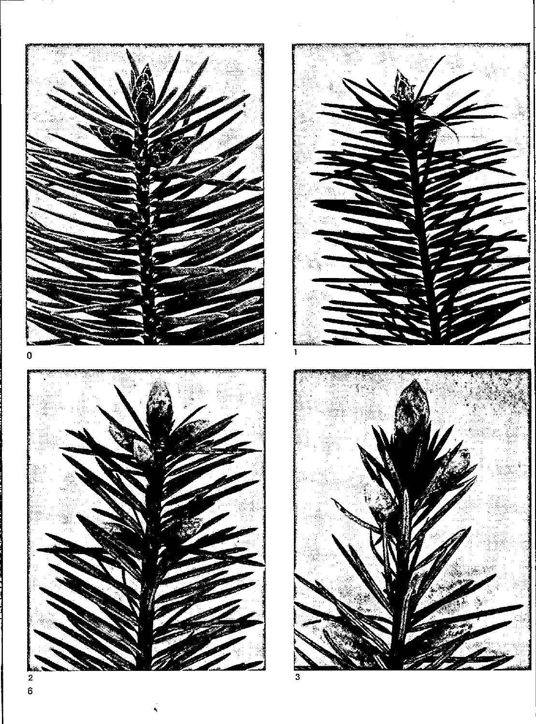

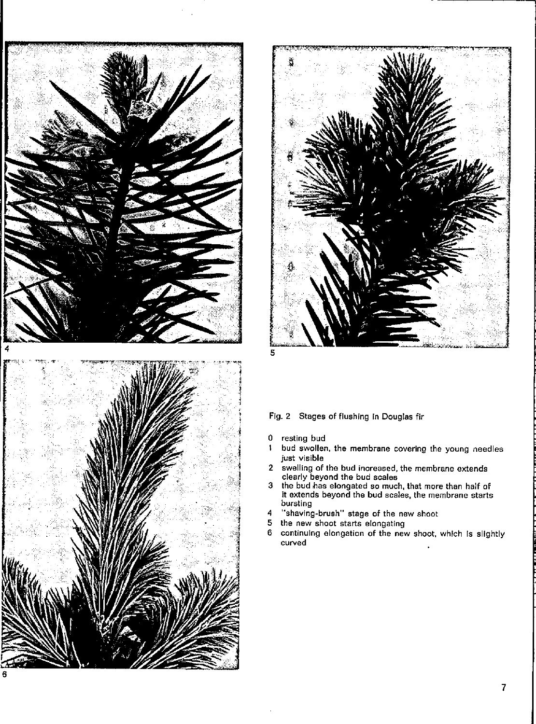



## Fig. 2 Stages of flushing in Douglas fir

- 0 resting bud<br>1 bud swollen
- bud swollen, the membrane covering the young needies just visible
- 2 swellrng of the bud increased, the membrane extends clearly beyond the bud seaJes
- 3 the bud has elongated so much, that more than half of It extends beyond the bud seales. the membrane starts bursting
- 4 "shaving·brush" stage of the new shoot
- 5 the new shoot starts elongating<br>6 continuing elongation of the nev
- continulng elongation of the new shoot, which is slightly curved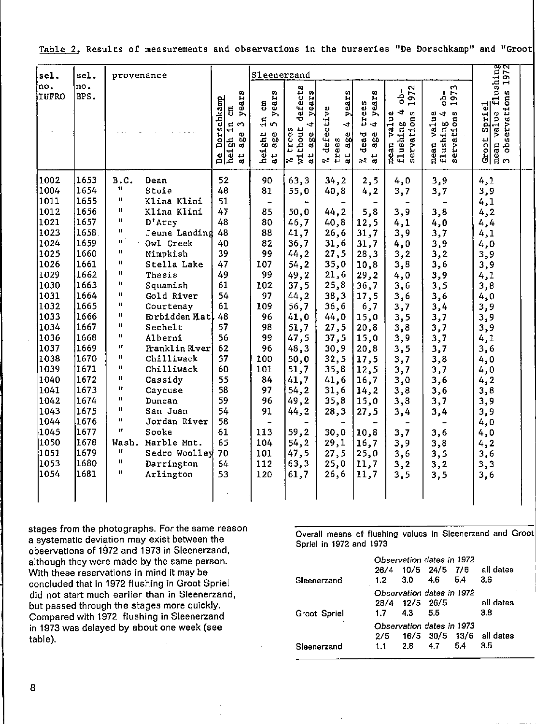| sel.                                                                                                                                                                                                                                 | sel.                                                                                                                                                                                                                                 |                                                                                                                                                                                                                                                                                                                      | Sleenerzand<br>provenance                                                                                                                                                                                                                                                                                                                                                                         |                                                                                                                                                                            |                                                                                                                                                                                                                                      |                                                                                                                                                                                                                           |                                                                                                                                                                                                                        |                                                                                                                                                                                                                   |                                                                                                                                                                                           |                                                                                                                                                                                           |                                                                                                                                                                                                            |  |
|--------------------------------------------------------------------------------------------------------------------------------------------------------------------------------------------------------------------------------------|--------------------------------------------------------------------------------------------------------------------------------------------------------------------------------------------------------------------------------------|----------------------------------------------------------------------------------------------------------------------------------------------------------------------------------------------------------------------------------------------------------------------------------------------------------------------|---------------------------------------------------------------------------------------------------------------------------------------------------------------------------------------------------------------------------------------------------------------------------------------------------------------------------------------------------------------------------------------------------|----------------------------------------------------------------------------------------------------------------------------------------------------------------------------|--------------------------------------------------------------------------------------------------------------------------------------------------------------------------------------------------------------------------------------|---------------------------------------------------------------------------------------------------------------------------------------------------------------------------------------------------------------------------|------------------------------------------------------------------------------------------------------------------------------------------------------------------------------------------------------------------------|-------------------------------------------------------------------------------------------------------------------------------------------------------------------------------------------------------------------|-------------------------------------------------------------------------------------------------------------------------------------------------------------------------------------------|-------------------------------------------------------------------------------------------------------------------------------------------------------------------------------------------|------------------------------------------------------------------------------------------------------------------------------------------------------------------------------------------------------------|--|
| no.<br>no.<br><b>IUFRO</b>                                                                                                                                                                                                           | BPS.                                                                                                                                                                                                                                 |                                                                                                                                                                                                                                                                                                                      |                                                                                                                                                                                                                                                                                                                                                                                                   | w<br>year<br>Dorschkamp<br>5<br>gh in<br>$\sim$<br>ω<br>δņ<br>ď.<br>hei.<br>Å<br>$\vec{a}$                                                                                 | ears<br>$\mathbf{g}% _{0}$<br>Þ.<br>$\ddot{u}$<br>$\sim$<br>height<br>Ш<br>ă<br>$\frac{11}{9}$                                                                                                                                       | defects<br>years<br>$\ddot{\phantom{0}}$<br>$\sqrt[3]{\frac{1}{x}}$ ires<br>$a$ ge<br>a t                                                                                                                                 | years<br>defective<br>$\ddot{\phantom{0}}$<br>$rac{e}{25}$<br>trees<br>at.<br>er.                                                                                                                                      | o,<br>year<br>trees<br>$\ddot{ }$<br>dead<br>age<br>$\mathbf{a}$ t<br>$\mathfrak{z}_3$                                                                                                                            | 972<br>흥<br>$\rightarrow$<br>4<br>flushing 4<br>servations<br>mean value                                                                                                                  | ω<br>승<br>$\tilde{5}$<br>$\overline{\phantom{0}}$<br>servations<br>value<br>4<br>flushing<br>mean                                                                                         | flushing<br>ons 1972<br>observations<br>Groot Spriel<br>mean value<br>3 observati                                                                                                                          |  |
| 1002<br>1004<br>1011<br>1012<br>1021<br>1023<br>1024<br>1025<br>1026<br>1029<br>1030<br>1031<br>1032<br>1033<br>1034<br>1036<br>1037<br>1038<br>1039<br>1040<br>1041<br>1042<br>1043<br>1044<br>1045<br>1050<br>1051<br>1053<br>1054 | 1653<br>1654<br>1655<br>1656<br>1657<br>1658<br>1659<br>1660<br>1661<br>1662<br>1663<br>1664<br>1665<br>1666<br>1667<br>1668<br>1669<br>1670<br>1671<br>1672<br>1673<br>1674<br>1675<br>1676<br>1677<br>1678<br>1679<br>1680<br>1681 | B.C.<br>$\mathbf{u}$<br>11<br>Ħ<br>$^{\dagger}$<br>$\pmb{\mathsf{H}}$<br>$\boldsymbol{\Pi}$<br>$\mathbf{H}$<br>Ħ<br>Ħ<br>Ħ<br>Ħ<br>H.<br>$^{\dagger}$<br>Ħ<br>$\mathbf{H}$<br>$\mathbf{H}$<br>Ħ<br>11<br>$\mathbf{H}$<br>$\mathbf{H}$<br>$\mathbf{H}$<br>$\mathbf{H}$<br>11<br>Ħ<br>Wash.<br>п<br>Ħ.<br>$^{\dagger}$ | Dean<br>Stuie<br>Klina Klini<br>Klina Klini<br>$D^{\dagger}$ Arcy<br>Jeune Landing<br>Owl Creek<br>Nimpkish<br>Stella Lake<br>Thasis<br>Squamish<br>Gold River<br>Courtenay<br>Forbidden Hatl<br>Sechelt<br>Alberni<br>Franklin River<br>Chilliwack<br>Chilliwack<br>Cassidy<br>Caycuse<br>Duncan<br>San Juan<br>Jordan River<br>Sooke<br>Marble Mnt.<br>Sedro Woolley<br>Darrington<br>Arlington | 52<br>48<br>51<br>47<br>48<br>48<br>40<br>39<br>47<br>49<br>61<br>54<br>61<br>48<br>57<br>56<br>62<br>57<br>60<br>55<br>58<br>59<br>54<br>58<br>61<br>65<br>70<br>64<br>53 | 90<br>81<br>$\overline{\phantom{a}}$<br>85<br>80<br>88<br>82<br>99<br>107<br>99<br>102<br>97<br>109<br>96<br>98<br>99<br>96<br>100<br>101<br>84<br>97<br>96<br>91<br>$\qquad \qquad \blacksquare$<br>113<br>104<br>101<br>112<br>120 | 63,3<br>55.0<br>50, 0<br>46,7<br>41.7<br>36,7<br>44,2<br>54, 2<br>49,2<br>37,5<br>44, 2<br>56,7<br>41,0<br>51,7<br>47,5<br>48.3<br>50,0<br>51,7<br>41,7<br>54, 2<br>49,2<br>44,2<br>59,2<br>54, 2<br>47,5<br>63,3<br>61,7 | 34, 2<br>40,8<br>44, 2<br>40,8<br>26,6<br>31,6<br>27,5<br>35,0<br>21,6<br>25,8<br>38,3<br>36,6<br>44,0<br>27,5<br>37,5<br>30,9<br>32,5<br>35,8<br>41,6<br>31,6<br>35,8<br>28,3<br>30,0<br>29,1<br>27,5<br>25,0<br>26,6 | 2,5<br>4, 2<br>5,8<br>12,5<br>31,7<br>31,7<br>28,3<br>10,8<br>29,2<br>36,7<br>17,5<br>6,7<br>15,0<br>20,8<br>15,0<br>20,8<br>17,5<br>12,5<br>16,7<br>14,2<br>15,0<br>27,5<br>10,8<br>16,7<br>25,0<br>11,7<br>11,7 | 4,0<br>3,7<br>3,9<br>4,1<br>3,9<br>4,0<br>3,2<br>3,8<br>4,0<br>3,6<br>3,6<br>3,7<br>3,5<br>3,8<br>3,9<br>3,5<br>3,7<br>3,7<br>3,0<br>3,8<br>3,8<br>3,4<br>3,7<br>3,9<br>3,6<br>3,2<br>3,5 | 3,9<br>3,7<br>3,8<br>4,0<br>3,7<br>3,9<br>3,2<br>3,6<br>3,9<br>3,5<br>3,6<br>3,4<br>3,7<br>3,7<br>3,7<br>3,7<br>3,8<br>3,7<br>3,6<br>3,6<br>3,7<br>3,4<br>3,6<br>3,8<br>3,5<br>3,2<br>3,5 | 4,1<br>3,9<br>4,1<br>4, 2<br>4,4<br>4,1<br>4.0<br>3,9<br>3,9<br>4,1<br>3,8<br>4,0<br>3,9<br>3,9<br>3,9<br>4,1<br>3,6<br>4,0<br>4,0<br>4, 2<br>3,8<br>3,9<br>3,9<br>4,0<br>4,0<br>4, 2<br>3,6<br>3,3<br>3,6 |  |

Table 2. Results of measurements and observations in the nurseries "De Dorschkamp" and "Groot

stages from the photographs. For the same reason a systematic deviation may exist between the observations of 1972 and 1973 in Sleenerzand, although they were made by the same person. With these reservations in mind it may be concluded that in 1972 flushing in Groot Spriel did not start much earlier than in Sleenerzand, but passed through the stages more quickly. Compared with 1972 flushing in Sleenerzand in 1973 was delayed by about one week (see table).

Overall means of flushing values in Sleenerzand and Groot Spriel in 1972 and 1973

 $\mathbb{R}^{\mathbb{Z}}$ 

|                     | Observation dates in 1972 |                           |      |     |                          |  |  |
|---------------------|---------------------------|---------------------------|------|-----|--------------------------|--|--|
|                     | 26/4                      | 10/5 24/5 7/6             |      |     | all dates                |  |  |
| Sleenerzand         | $1.2 -$                   | 3.0                       | -4.6 | 5.4 | 3.6                      |  |  |
|                     |                           | Observation dates in 1972 |      |     |                          |  |  |
|                     | 28/4                      | 12/5 26/5                 |      |     | all dates                |  |  |
| <b>Groot Spriel</b> | 1.7                       | 4.3                       | -5.5 |     | 3.8                      |  |  |
|                     |                           | Observation dates in 1973 |      |     |                          |  |  |
|                     | 2/5                       |                           |      |     | 16/5 30/5 13/6 all dates |  |  |
| Sleenerzand         | 1.1                       | 2.8                       | 4.7  | 5.4 | 3.5                      |  |  |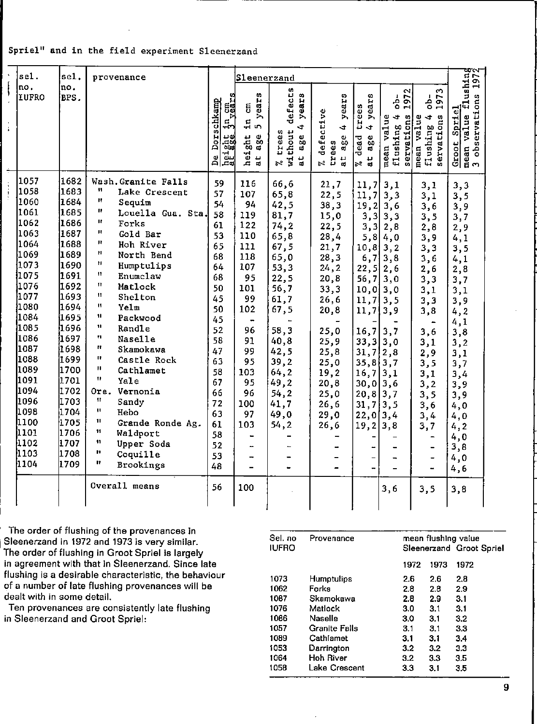# Spriel" and in the field experiment Sleenerzand

|                  | sel.  | sel.   | provenance                       |                                                    | Sleenerzand                                                             |                                                                                                                   |                                                                                                          |                                                                                                     |                                                                                                    |                                                                                                   |                                                                      |
|------------------|-------|--------|----------------------------------|----------------------------------------------------|-------------------------------------------------------------------------|-------------------------------------------------------------------------------------------------------------------|----------------------------------------------------------------------------------------------------------|-----------------------------------------------------------------------------------------------------|----------------------------------------------------------------------------------------------------|---------------------------------------------------------------------------------------------------|----------------------------------------------------------------------|
|                  | no.   | no.    |                                  |                                                    |                                                                         |                                                                                                                   |                                                                                                          |                                                                                                     |                                                                                                    |                                                                                                   |                                                                      |
| $\ddot{\bullet}$ | IUFRO | BPS.   |                                  | $\frac{1}{3}$ n cm<br>Dorschkamp<br>떏<br>تان<br>മ് | w<br>ii<br>Sa<br>ã<br>⋋<br>ir,<br>in,<br>height<br>age<br>$\frac{1}{3}$ | defects<br>I.B<br>yea:<br>$\ddot{\phantom{0}}$<br>thout<br>trees<br>¢.<br>Ō0<br>ಥ<br>남<br>$\overline{\mathbf{s}}$ | ears<br>defective<br>$\rightarrow$<br>$\ddot{\phantom{a}}$<br>e<br>eo<br>ees<br>ିଶ<br>$\frac{1}{3}$<br>£ | n<br>H<br>ees<br>year<br>Б<br>$\ddot{\phantom{a}}$<br>dead<br>$\bullet$<br>60<br>ಪ<br>$\frac{1}{3}$ | N<br>$\overline{5}$<br>à,<br>$\rightarrow$<br>$\ddot{}$<br>servations<br>value<br>flushing<br>mean | w<br>197<br>$\overline{a}$<br>$\ddot{\phantom{0}}$<br>servations<br>Ф<br>valu<br>flushing<br>mean | flushing<br>ons 1972<br>observation<br>Spriel<br>mean value<br>Groot |
|                  |       |        |                                  | .ca                                                |                                                                         | $\approx$                                                                                                         | $\mathbb{Z}^2$                                                                                           | $\approx$                                                                                           |                                                                                                    |                                                                                                   | $\mathbf{c}$                                                         |
|                  | 1057  | 1682   | Wash, Granite Falls              | 59                                                 | 116                                                                     | 66,6                                                                                                              | 21,7                                                                                                     | 11,7                                                                                                | 3,1                                                                                                | 3,1                                                                                               | 3,3                                                                  |
|                  | 1058  | 1683   | W<br>Lake Crescent               | 57                                                 | 107                                                                     | 65,8                                                                                                              | 22,5                                                                                                     | 11,7                                                                                                | 3,3                                                                                                | 3,1                                                                                               | 3,5                                                                  |
|                  | 11060 | 1684   | н<br>Sequim                      | 54                                                 | 94                                                                      | 42,5                                                                                                              | 38,3                                                                                                     | 19,2                                                                                                | 3,6                                                                                                | 3,6                                                                                               | 3,9                                                                  |
|                  | 1061  | 1685   | n<br>Louella Gua. Sta.           | 58                                                 | 119                                                                     | 81,7                                                                                                              | 15,0                                                                                                     |                                                                                                     | $3,3$ 3, 3                                                                                         | 3,5                                                                                               | 3,7                                                                  |
|                  | 1062  | i1686  | Ħ<br>Forks                       | 61                                                 | 122                                                                     | 74,2                                                                                                              | 22, 5                                                                                                    | 3,3                                                                                                 | 2,8                                                                                                | 2,8                                                                                               | 2,9                                                                  |
|                  | 1063  | 1687   | п<br>Gold Bar                    | 53                                                 | 110                                                                     | 65,8                                                                                                              | 28,4                                                                                                     |                                                                                                     | $5,8$ 4,0                                                                                          | 3,9                                                                                               | 4,1                                                                  |
|                  | 1064  | 1688   | п<br>Hoh River                   | 65                                                 | 111                                                                     | 67,5                                                                                                              | 21,7                                                                                                     | $10, 8$ 3, 2                                                                                        |                                                                                                    | 3,3                                                                                               | 3, 5                                                                 |
|                  | 1069  | 1689.  | Ħ<br>North Bend                  | 68                                                 | 118                                                                     | 65,0                                                                                                              | 28, 3                                                                                                    |                                                                                                     | $6, 7 \vert 3, 8$                                                                                  | 3,6                                                                                               | 4,1                                                                  |
|                  | 1073  | 1690   | Ħ<br>Humptulips                  | 64                                                 | 107                                                                     | 53,3                                                                                                              | 24, 2                                                                                                    | 22, 5                                                                                               | 2,6                                                                                                | 2,6                                                                                               | 2,8                                                                  |
|                  | 1075  | 1691   | 11<br>Enumclaw                   | 68                                                 | 95                                                                      | 22, 5                                                                                                             | 20,8                                                                                                     | $56, 7$ 3,0                                                                                         |                                                                                                    | 3,3                                                                                               | 3,7                                                                  |
|                  | 1076  | 1692   | n<br>Matlock                     | 50                                                 | 101                                                                     | 56,7                                                                                                              | 33,3                                                                                                     | $[0, 0]$ 3,0                                                                                        |                                                                                                    | 3,1                                                                                               | 3,1                                                                  |
|                  | 1077  | 1693   | Ħ<br><b>Shelton</b>              | 45                                                 | 99                                                                      | 61,7                                                                                                              | 26,6                                                                                                     | $11, 7$   3,5                                                                                       |                                                                                                    | 3,3                                                                                               | 3,9                                                                  |
|                  | 1080  | 1694   | 11<br>Yelm                       | 50                                                 | 102                                                                     | 67,5                                                                                                              | 20,8                                                                                                     | 11,713,9                                                                                            |                                                                                                    | 3,8                                                                                               | 4, 2                                                                 |
|                  | 1084  | 1695   | $\mathbf{u}$<br>Packwood         | 45                                                 |                                                                         |                                                                                                                   |                                                                                                          |                                                                                                     |                                                                                                    | $\overline{\phantom{a}}$                                                                          | 4,1                                                                  |
|                  | 1085  | 1696   | n<br>Randle                      | 52                                                 | 96                                                                      | 58,3                                                                                                              | 25,0                                                                                                     | 16, 7                                                                                               | 3,7                                                                                                | 3,6                                                                                               | 3,8                                                                  |
|                  | 1086  | {1697  | 11<br>Nase11e                    | 58                                                 | 91                                                                      | 40, 8                                                                                                             | 25,9                                                                                                     | $33,3$ 3,0                                                                                          |                                                                                                    | 3,1                                                                                               | 3,2                                                                  |
|                  | 1087  | l1 698 | п.<br>Skamokawa                  | 47                                                 | 99                                                                      | 42,5                                                                                                              | 25,8                                                                                                     | $31,7$ 2,8                                                                                          |                                                                                                    | 2,9                                                                                               | 3,1                                                                  |
|                  | 1088  | l1 699 | п<br>Castle Rock                 | 63                                                 | 95                                                                      | 39, 2                                                                                                             | 25,0                                                                                                     | 35,8[3,7]                                                                                           |                                                                                                    | 3,5                                                                                               | 3,7                                                                  |
|                  | 1089  | 1700   | п<br>Cathlamet                   | 58                                                 | 103                                                                     | 64, 2                                                                                                             | 19,2                                                                                                     | $16,7$ 3,1                                                                                          |                                                                                                    | 3,1                                                                                               | 3,4                                                                  |
|                  | 1091  | 1701   | 11<br>Yale                       | 67                                                 | 95                                                                      | 49,2                                                                                                              | 20,8                                                                                                     | $30,0$ 3,6                                                                                          |                                                                                                    | 3,2                                                                                               | 3,9                                                                  |
|                  | 1094  | 1702   | Vernonia<br>Ore.                 | 66                                                 | 96                                                                      | 54, 2                                                                                                             | 25,0                                                                                                     | $20, 8$   3,7                                                                                       |                                                                                                    | 3,5                                                                                               | 3,9                                                                  |
|                  | 1096  | 1703   | $^{\dagger \dagger}$<br>Sandy    | 72                                                 | 100                                                                     | 41,7                                                                                                              | 26,6                                                                                                     | 31,7                                                                                                | 3,5                                                                                                | 3,6                                                                                               | 4,0                                                                  |
|                  | 1098  | 1704   | π<br>Hebo                        | 63                                                 | 97                                                                      | 49,0                                                                                                              | 29,0                                                                                                     | $22,0$ 3,4                                                                                          |                                                                                                    | 3,4                                                                                               | 4,0                                                                  |
|                  | 1100  | 1705   | $\mathbf{1}$<br>Grande Ronde Ag. | 61                                                 | 103                                                                     | 54, 2                                                                                                             | 26,6                                                                                                     | 19, 2                                                                                               | 3,8                                                                                                | 3,7                                                                                               | 4, 2                                                                 |
|                  | 1101  | 1706   | 11<br>Waldport                   | 58                                                 | $\blacksquare$                                                          |                                                                                                                   |                                                                                                          |                                                                                                     |                                                                                                    |                                                                                                   | 4,0                                                                  |
|                  | 1102  | 1707   | 11<br>Upper Soda                 | 52                                                 | u.                                                                      |                                                                                                                   |                                                                                                          |                                                                                                     |                                                                                                    | -                                                                                                 | 3,8                                                                  |
|                  | 1103  | 1708   | п<br>Coquille                    | 53                                                 | $\rightarrow$                                                           |                                                                                                                   |                                                                                                          | -                                                                                                   |                                                                                                    | -                                                                                                 | 4,0                                                                  |
|                  | 1104  | 1709   | п<br>Brookings                   | 48                                                 | -                                                                       | ٠                                                                                                                 |                                                                                                          | -                                                                                                   |                                                                                                    | $\overline{\phantom{a}}$                                                                          | 4,6                                                                  |
|                  |       |        | Overall means                    | 56                                                 | 100                                                                     |                                                                                                                   |                                                                                                          |                                                                                                     | 3,6                                                                                                | 3, 5                                                                                              | 3,8                                                                  |
|                  |       |        |                                  |                                                    |                                                                         |                                                                                                                   |                                                                                                          |                                                                                                     |                                                                                                    |                                                                                                   |                                                                      |

The order of flushing of the provenances in Sleenerzand in 1972 and 1973 is very similar. The order of flushing in Groot Spriel is largely in agreement with that in Sleenerzand. Since late flushing is a desirable characteristic, the behaviour of a number of late flushing provenances will be dealt with in some detail.

Ten provenances are consistently late flushing in Sleenerzand and Groot Spriel:

| Sel. no      | Provenance           | mean flushing value |      |                          |  |  |  |  |
|--------------|----------------------|---------------------|------|--------------------------|--|--|--|--|
| <b>IUFRO</b> |                      |                     |      | Sleenerzand Groot Spriel |  |  |  |  |
|              |                      | 1972                | 1973 | 1972                     |  |  |  |  |
| 1073         | <b>Humptulips</b>    | 2.6                 | 2.6  | 2.8                      |  |  |  |  |
| 1062         | Forks                | 2.8                 | 2.8  | 2.9                      |  |  |  |  |
| 1087         | Skamokawa            | 2.8                 | 2.9  | 3.1                      |  |  |  |  |
| 1076         | Matlock              | 3.0                 | 3.1  | 3.1                      |  |  |  |  |
| 1086         | Naselle              | 3.0                 | 31   | 3.2                      |  |  |  |  |
| 1057         | <b>Granite Falls</b> | 3.1                 | 3.1  | 3.3                      |  |  |  |  |
| 1089         | Cathlamet            | 3.1                 | 3.1  | 3.4                      |  |  |  |  |
| 1053         | Darrington           | 3.2                 | 3.2  | 3.3                      |  |  |  |  |
| 1064         | Hoh River            | 32                  | 3.3  | 3.5                      |  |  |  |  |
| 1058         | Lake Crescent        | 33                  | 3.1  | 3.5                      |  |  |  |  |

 $\boldsymbol{9}$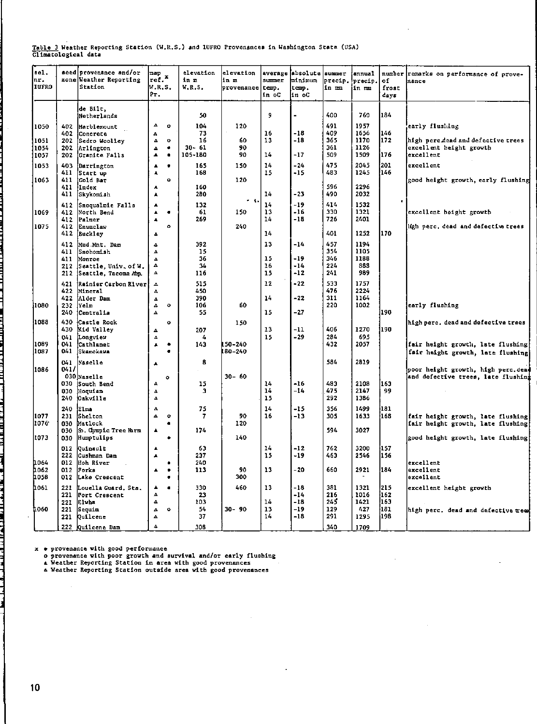# Table 3 Weather Reporting Station (W.R.S.) and IUFRO Provenances in Washington State (USA)<br>Climatological data

| de Bilt,<br>184<br>400<br>760<br>50<br>9<br>Netherlands<br>491<br>104<br>1957<br>$\Delta$<br>early flushing<br>1050<br>402<br>۰<br>120<br>Marblemount<br>146<br>73<br>16<br>-18<br>409<br>1656<br>402<br>Concrete<br>$\Delta$<br>365<br>172<br>16<br>60<br>13<br>-18<br>1170<br>high perc dead and defective trees<br>1051<br>202<br>Sedro Woolley<br>$\Delta$<br>$\bullet$<br>361<br>$30 - 61$<br>90<br>1126<br>excellent height growth<br>11054<br>202<br>Arlington<br>٠<br>$\Delta$<br>105-180<br>14<br>509<br>1509<br>176<br>90<br>-17<br>excellent<br>1057<br>202<br>Cranite Falls<br>٠<br>$\blacktriangle$<br>201<br>475<br>14<br>2045<br>165<br>150<br>-24<br>excellent<br>1053<br>403<br>Darrington<br>٠<br>٠<br>1245<br>146<br>168<br>15<br>$-15$<br>483<br>411<br>Start up<br>٨<br>1063<br>411<br>Cold Bar<br>120<br>$\bullet$<br>good height growth, early flushing<br>596<br>2296<br>411<br>lindex<br>160<br>A<br>280<br>14<br>$-23$<br>490<br>2032<br>411<br>Skykomish<br>А<br>$\sim$ to<br>414<br>14<br>-19<br>1532<br>132<br>412<br>Snoqualmie Falls<br>۸<br>330<br>13<br>$-16$<br>1321<br>1069<br>North Bend<br>-61<br>150<br>excellent height growth<br>412<br>$\bullet$<br>٠<br>14<br>$-18$<br>726<br>Palmer<br>269<br>2401<br>412<br>۸<br>1075<br>$2 - 0$<br>ligh perc, dead and defective trees<br>412<br>Enumclaw<br>$\circ$<br>401<br>170<br>14<br>1252<br>412<br>Buckley<br>Δ<br>457<br>1194<br>392<br>13<br>-14<br>412<br>Mud Mnt. Dam<br>4<br>354<br>1105<br>411<br>15<br>Snohomish<br>$\Delta$<br>15<br>346<br>$-19$<br>1188<br>36<br>411<br>Monroe<br>$\Delta$<br>34<br>16<br>$-14$<br>224<br>883<br>Δ<br>212<br>Seattle, Univ. of W.<br>241<br>989<br>15<br>-12<br>212<br>Seattle, Tacoma Ann.<br>Δ<br>116<br>533<br>1757<br>515<br>12<br>$-22$<br>421<br>Rainier Carbon River<br>$\Delta$<br>476<br>2224<br>422<br>Mineral<br>450<br>4<br>311<br>390<br>14<br>-22<br>1164<br>422<br>Alder Dam<br>Δ<br>220<br>106<br>1002<br>232<br>lYe1m<br>60<br>early flushing<br> 1080<br>$\circ$<br>۵<br>190<br>-27<br>240<br>Centralia<br>55<br>15<br>Δ<br>11088<br>Castle Rock<br>430<br>high perc, dead and defective trees<br>$\bullet$<br>150<br>13<br>406<br>1270<br>1190<br>430<br>Kid Valley<br>-11<br>207<br>Δ<br>284<br>15<br>-29<br>695<br>041<br>Longview<br>4<br>Δ<br>432<br>1089<br>2057<br>041<br>Cathlamet<br>143<br>LSO-240<br>fair height growth, late flushing<br>٠<br>$\blacktriangle$<br>1087<br>041<br>Skamokawa<br>180-240<br>$\blacksquare$<br>fair height growth, late flushing<br>584<br>8<br>Naselle<br>2819<br>041<br>A<br>1086<br>041/<br>poor height growth, high perc.dea<br>$30 - 60$<br>030 Naselle<br>and defective trees, late flushing<br>٥<br>483<br>14<br>163<br>030<br>15<br>-16<br>2108<br>South Bend<br>А<br>14<br>-14<br>475<br>2147<br>99<br>030<br>Hoquiam<br>з<br>Δ<br>15<br>292<br>1386<br>240<br><b>Oakville</b><br>$\Delta$<br>14<br>356<br>181<br>75<br>-15<br>1499<br>240<br>Elma<br>Δ.<br>16<br>305<br>168<br>231<br>İShe1 ton<br>90<br>-13<br>1633<br>1077<br>Δ<br>$\bullet$<br>7<br>fair height growth, late flushing<br>120<br>1076<br>Matlock<br>030<br>fair height growth, late flushing<br>٠<br>594<br>So. Cympic Tree Harm<br>174<br>3027<br>030<br>٨<br>140<br>1073<br>Humptulips<br>good height growth, late flushing<br>030<br>٠<br>14<br>762<br>157<br>63<br>-12<br>3200<br>012<br>Quinault<br>▲<br>237<br>15<br>-19<br>463<br>156<br>222<br>2546<br>Cushman Dam<br>$\blacktriangle$<br>240<br><b>1064</b><br>012<br>Hoh River<br>excellent<br>٠<br>660<br>184<br><b>1062</b><br>Forks<br>113<br>90<br>13<br>- 20<br>2921<br>excellent<br>012<br>٠<br>$\blacktriangle$<br>300<br><b>1058</b><br>012<br>Lake Crescent<br>excellent<br>٠<br>215<br>330<br>460<br>381<br>h 061<br>221<br>13<br>-18<br>1321<br>Louella Guard, Sta.<br>$\bullet$<br>excellent height growth<br>▲<br>216<br>162<br>221<br>23<br>$-14$<br>1016<br>Port Crescent<br>$\Delta$<br>245<br>163<br>Elvha<br>103<br>14<br>$-18$<br>1421<br>Δ<br>221<br>54<br>$-19$<br>129<br>181<br>I 060<br>$30 - 90$<br>13<br>427<br>221<br>Sequim<br>$\Delta$<br>۰<br>high perc. dead and defective trees<br>291<br>37<br>14<br>-18<br>198<br>Quilcene<br>1295<br>221<br>$\Delta$ | nel.<br>Inr.<br><b>IUFRO</b> | seed provenance and/or<br>zone Weather Reporting<br>Station | map<br>ref.<br>W.R.S.<br>$P_T$ . | elevation<br>in m<br>W.R.5. | elevation<br>in m<br>provenance | summer<br>temp.<br>in oC | average absolute summer<br>Einimum<br>temp.<br>in oC | precip.<br>in mm | <b>annual</b><br>precip.<br>iin mma | оf<br>frost<br>days | number remarks on performance of prove-<br>nance |
|-----------------------------------------------------------------------------------------------------------------------------------------------------------------------------------------------------------------------------------------------------------------------------------------------------------------------------------------------------------------------------------------------------------------------------------------------------------------------------------------------------------------------------------------------------------------------------------------------------------------------------------------------------------------------------------------------------------------------------------------------------------------------------------------------------------------------------------------------------------------------------------------------------------------------------------------------------------------------------------------------------------------------------------------------------------------------------------------------------------------------------------------------------------------------------------------------------------------------------------------------------------------------------------------------------------------------------------------------------------------------------------------------------------------------------------------------------------------------------------------------------------------------------------------------------------------------------------------------------------------------------------------------------------------------------------------------------------------------------------------------------------------------------------------------------------------------------------------------------------------------------------------------------------------------------------------------------------------------------------------------------------------------------------------------------------------------------------------------------------------------------------------------------------------------------------------------------------------------------------------------------------------------------------------------------------------------------------------------------------------------------------------------------------------------------------------------------------------------------------------------------------------------------------------------------------------------------------------------------------------------------------------------------------------------------------------------------------------------------------------------------------------------------------------------------------------------------------------------------------------------------------------------------------------------------------------------------------------------------------------------------------------------------------------------------------------------------------------------------------------------------------------------------------------------------------------------------------------------------------------------------------------------------------------------------------------------------------------------------------------------------------------------------------------------------------------------------------------------------------------------------------------------------------------------------------------------------------------------------------------------------------------------------------------------------------------------------------------------------------------------------------------------------------------------------------------------------------------------------------------------------------------------------------------------------------------------------------------------------------------------------------------------------------------------------------------------------------------------------------------------------------------------------------------------------------------------------------------------|------------------------------|-------------------------------------------------------------|----------------------------------|-----------------------------|---------------------------------|--------------------------|------------------------------------------------------|------------------|-------------------------------------|---------------------|--------------------------------------------------|
|                                                                                                                                                                                                                                                                                                                                                                                                                                                                                                                                                                                                                                                                                                                                                                                                                                                                                                                                                                                                                                                                                                                                                                                                                                                                                                                                                                                                                                                                                                                                                                                                                                                                                                                                                                                                                                                                                                                                                                                                                                                                                                                                                                                                                                                                                                                                                                                                                                                                                                                                                                                                                                                                                                                                                                                                                                                                                                                                                                                                                                                                                                                                                                                                                                                                                                                                                                                                                                                                                                                                                                                                                                                                                                                                                                                                                                                                                                                                                                                                                                                                                                                                                                                                                       |                              |                                                             |                                  |                             |                                 |                          |                                                      |                  |                                     |                     |                                                  |
|                                                                                                                                                                                                                                                                                                                                                                                                                                                                                                                                                                                                                                                                                                                                                                                                                                                                                                                                                                                                                                                                                                                                                                                                                                                                                                                                                                                                                                                                                                                                                                                                                                                                                                                                                                                                                                                                                                                                                                                                                                                                                                                                                                                                                                                                                                                                                                                                                                                                                                                                                                                                                                                                                                                                                                                                                                                                                                                                                                                                                                                                                                                                                                                                                                                                                                                                                                                                                                                                                                                                                                                                                                                                                                                                                                                                                                                                                                                                                                                                                                                                                                                                                                                                                       |                              |                                                             |                                  |                             |                                 |                          |                                                      |                  |                                     |                     |                                                  |
|                                                                                                                                                                                                                                                                                                                                                                                                                                                                                                                                                                                                                                                                                                                                                                                                                                                                                                                                                                                                                                                                                                                                                                                                                                                                                                                                                                                                                                                                                                                                                                                                                                                                                                                                                                                                                                                                                                                                                                                                                                                                                                                                                                                                                                                                                                                                                                                                                                                                                                                                                                                                                                                                                                                                                                                                                                                                                                                                                                                                                                                                                                                                                                                                                                                                                                                                                                                                                                                                                                                                                                                                                                                                                                                                                                                                                                                                                                                                                                                                                                                                                                                                                                                                                       |                              |                                                             |                                  |                             |                                 |                          |                                                      |                  |                                     |                     |                                                  |
|                                                                                                                                                                                                                                                                                                                                                                                                                                                                                                                                                                                                                                                                                                                                                                                                                                                                                                                                                                                                                                                                                                                                                                                                                                                                                                                                                                                                                                                                                                                                                                                                                                                                                                                                                                                                                                                                                                                                                                                                                                                                                                                                                                                                                                                                                                                                                                                                                                                                                                                                                                                                                                                                                                                                                                                                                                                                                                                                                                                                                                                                                                                                                                                                                                                                                                                                                                                                                                                                                                                                                                                                                                                                                                                                                                                                                                                                                                                                                                                                                                                                                                                                                                                                                       |                              |                                                             |                                  |                             |                                 |                          |                                                      |                  |                                     |                     |                                                  |
|                                                                                                                                                                                                                                                                                                                                                                                                                                                                                                                                                                                                                                                                                                                                                                                                                                                                                                                                                                                                                                                                                                                                                                                                                                                                                                                                                                                                                                                                                                                                                                                                                                                                                                                                                                                                                                                                                                                                                                                                                                                                                                                                                                                                                                                                                                                                                                                                                                                                                                                                                                                                                                                                                                                                                                                                                                                                                                                                                                                                                                                                                                                                                                                                                                                                                                                                                                                                                                                                                                                                                                                                                                                                                                                                                                                                                                                                                                                                                                                                                                                                                                                                                                                                                       |                              |                                                             |                                  |                             |                                 |                          |                                                      |                  |                                     |                     |                                                  |
|                                                                                                                                                                                                                                                                                                                                                                                                                                                                                                                                                                                                                                                                                                                                                                                                                                                                                                                                                                                                                                                                                                                                                                                                                                                                                                                                                                                                                                                                                                                                                                                                                                                                                                                                                                                                                                                                                                                                                                                                                                                                                                                                                                                                                                                                                                                                                                                                                                                                                                                                                                                                                                                                                                                                                                                                                                                                                                                                                                                                                                                                                                                                                                                                                                                                                                                                                                                                                                                                                                                                                                                                                                                                                                                                                                                                                                                                                                                                                                                                                                                                                                                                                                                                                       |                              |                                                             |                                  |                             |                                 |                          |                                                      |                  |                                     |                     |                                                  |
|                                                                                                                                                                                                                                                                                                                                                                                                                                                                                                                                                                                                                                                                                                                                                                                                                                                                                                                                                                                                                                                                                                                                                                                                                                                                                                                                                                                                                                                                                                                                                                                                                                                                                                                                                                                                                                                                                                                                                                                                                                                                                                                                                                                                                                                                                                                                                                                                                                                                                                                                                                                                                                                                                                                                                                                                                                                                                                                                                                                                                                                                                                                                                                                                                                                                                                                                                                                                                                                                                                                                                                                                                                                                                                                                                                                                                                                                                                                                                                                                                                                                                                                                                                                                                       |                              |                                                             |                                  |                             |                                 |                          |                                                      |                  |                                     |                     |                                                  |
|                                                                                                                                                                                                                                                                                                                                                                                                                                                                                                                                                                                                                                                                                                                                                                                                                                                                                                                                                                                                                                                                                                                                                                                                                                                                                                                                                                                                                                                                                                                                                                                                                                                                                                                                                                                                                                                                                                                                                                                                                                                                                                                                                                                                                                                                                                                                                                                                                                                                                                                                                                                                                                                                                                                                                                                                                                                                                                                                                                                                                                                                                                                                                                                                                                                                                                                                                                                                                                                                                                                                                                                                                                                                                                                                                                                                                                                                                                                                                                                                                                                                                                                                                                                                                       |                              |                                                             |                                  |                             |                                 |                          |                                                      |                  |                                     |                     |                                                  |
|                                                                                                                                                                                                                                                                                                                                                                                                                                                                                                                                                                                                                                                                                                                                                                                                                                                                                                                                                                                                                                                                                                                                                                                                                                                                                                                                                                                                                                                                                                                                                                                                                                                                                                                                                                                                                                                                                                                                                                                                                                                                                                                                                                                                                                                                                                                                                                                                                                                                                                                                                                                                                                                                                                                                                                                                                                                                                                                                                                                                                                                                                                                                                                                                                                                                                                                                                                                                                                                                                                                                                                                                                                                                                                                                                                                                                                                                                                                                                                                                                                                                                                                                                                                                                       |                              |                                                             |                                  |                             |                                 |                          |                                                      |                  |                                     |                     |                                                  |
|                                                                                                                                                                                                                                                                                                                                                                                                                                                                                                                                                                                                                                                                                                                                                                                                                                                                                                                                                                                                                                                                                                                                                                                                                                                                                                                                                                                                                                                                                                                                                                                                                                                                                                                                                                                                                                                                                                                                                                                                                                                                                                                                                                                                                                                                                                                                                                                                                                                                                                                                                                                                                                                                                                                                                                                                                                                                                                                                                                                                                                                                                                                                                                                                                                                                                                                                                                                                                                                                                                                                                                                                                                                                                                                                                                                                                                                                                                                                                                                                                                                                                                                                                                                                                       |                              |                                                             |                                  |                             |                                 |                          |                                                      |                  |                                     |                     |                                                  |
|                                                                                                                                                                                                                                                                                                                                                                                                                                                                                                                                                                                                                                                                                                                                                                                                                                                                                                                                                                                                                                                                                                                                                                                                                                                                                                                                                                                                                                                                                                                                                                                                                                                                                                                                                                                                                                                                                                                                                                                                                                                                                                                                                                                                                                                                                                                                                                                                                                                                                                                                                                                                                                                                                                                                                                                                                                                                                                                                                                                                                                                                                                                                                                                                                                                                                                                                                                                                                                                                                                                                                                                                                                                                                                                                                                                                                                                                                                                                                                                                                                                                                                                                                                                                                       |                              |                                                             |                                  |                             |                                 |                          |                                                      |                  |                                     |                     |                                                  |
|                                                                                                                                                                                                                                                                                                                                                                                                                                                                                                                                                                                                                                                                                                                                                                                                                                                                                                                                                                                                                                                                                                                                                                                                                                                                                                                                                                                                                                                                                                                                                                                                                                                                                                                                                                                                                                                                                                                                                                                                                                                                                                                                                                                                                                                                                                                                                                                                                                                                                                                                                                                                                                                                                                                                                                                                                                                                                                                                                                                                                                                                                                                                                                                                                                                                                                                                                                                                                                                                                                                                                                                                                                                                                                                                                                                                                                                                                                                                                                                                                                                                                                                                                                                                                       |                              |                                                             |                                  |                             |                                 |                          |                                                      |                  |                                     |                     |                                                  |
|                                                                                                                                                                                                                                                                                                                                                                                                                                                                                                                                                                                                                                                                                                                                                                                                                                                                                                                                                                                                                                                                                                                                                                                                                                                                                                                                                                                                                                                                                                                                                                                                                                                                                                                                                                                                                                                                                                                                                                                                                                                                                                                                                                                                                                                                                                                                                                                                                                                                                                                                                                                                                                                                                                                                                                                                                                                                                                                                                                                                                                                                                                                                                                                                                                                                                                                                                                                                                                                                                                                                                                                                                                                                                                                                                                                                                                                                                                                                                                                                                                                                                                                                                                                                                       |                              |                                                             |                                  |                             |                                 |                          |                                                      |                  |                                     |                     |                                                  |
|                                                                                                                                                                                                                                                                                                                                                                                                                                                                                                                                                                                                                                                                                                                                                                                                                                                                                                                                                                                                                                                                                                                                                                                                                                                                                                                                                                                                                                                                                                                                                                                                                                                                                                                                                                                                                                                                                                                                                                                                                                                                                                                                                                                                                                                                                                                                                                                                                                                                                                                                                                                                                                                                                                                                                                                                                                                                                                                                                                                                                                                                                                                                                                                                                                                                                                                                                                                                                                                                                                                                                                                                                                                                                                                                                                                                                                                                                                                                                                                                                                                                                                                                                                                                                       |                              |                                                             |                                  |                             |                                 |                          |                                                      |                  |                                     |                     |                                                  |
|                                                                                                                                                                                                                                                                                                                                                                                                                                                                                                                                                                                                                                                                                                                                                                                                                                                                                                                                                                                                                                                                                                                                                                                                                                                                                                                                                                                                                                                                                                                                                                                                                                                                                                                                                                                                                                                                                                                                                                                                                                                                                                                                                                                                                                                                                                                                                                                                                                                                                                                                                                                                                                                                                                                                                                                                                                                                                                                                                                                                                                                                                                                                                                                                                                                                                                                                                                                                                                                                                                                                                                                                                                                                                                                                                                                                                                                                                                                                                                                                                                                                                                                                                                                                                       |                              |                                                             |                                  |                             |                                 |                          |                                                      |                  |                                     |                     |                                                  |
|                                                                                                                                                                                                                                                                                                                                                                                                                                                                                                                                                                                                                                                                                                                                                                                                                                                                                                                                                                                                                                                                                                                                                                                                                                                                                                                                                                                                                                                                                                                                                                                                                                                                                                                                                                                                                                                                                                                                                                                                                                                                                                                                                                                                                                                                                                                                                                                                                                                                                                                                                                                                                                                                                                                                                                                                                                                                                                                                                                                                                                                                                                                                                                                                                                                                                                                                                                                                                                                                                                                                                                                                                                                                                                                                                                                                                                                                                                                                                                                                                                                                                                                                                                                                                       |                              |                                                             |                                  |                             |                                 |                          |                                                      |                  |                                     |                     |                                                  |
|                                                                                                                                                                                                                                                                                                                                                                                                                                                                                                                                                                                                                                                                                                                                                                                                                                                                                                                                                                                                                                                                                                                                                                                                                                                                                                                                                                                                                                                                                                                                                                                                                                                                                                                                                                                                                                                                                                                                                                                                                                                                                                                                                                                                                                                                                                                                                                                                                                                                                                                                                                                                                                                                                                                                                                                                                                                                                                                                                                                                                                                                                                                                                                                                                                                                                                                                                                                                                                                                                                                                                                                                                                                                                                                                                                                                                                                                                                                                                                                                                                                                                                                                                                                                                       |                              |                                                             |                                  |                             |                                 |                          |                                                      |                  |                                     |                     |                                                  |
|                                                                                                                                                                                                                                                                                                                                                                                                                                                                                                                                                                                                                                                                                                                                                                                                                                                                                                                                                                                                                                                                                                                                                                                                                                                                                                                                                                                                                                                                                                                                                                                                                                                                                                                                                                                                                                                                                                                                                                                                                                                                                                                                                                                                                                                                                                                                                                                                                                                                                                                                                                                                                                                                                                                                                                                                                                                                                                                                                                                                                                                                                                                                                                                                                                                                                                                                                                                                                                                                                                                                                                                                                                                                                                                                                                                                                                                                                                                                                                                                                                                                                                                                                                                                                       |                              |                                                             |                                  |                             |                                 |                          |                                                      |                  |                                     |                     |                                                  |
|                                                                                                                                                                                                                                                                                                                                                                                                                                                                                                                                                                                                                                                                                                                                                                                                                                                                                                                                                                                                                                                                                                                                                                                                                                                                                                                                                                                                                                                                                                                                                                                                                                                                                                                                                                                                                                                                                                                                                                                                                                                                                                                                                                                                                                                                                                                                                                                                                                                                                                                                                                                                                                                                                                                                                                                                                                                                                                                                                                                                                                                                                                                                                                                                                                                                                                                                                                                                                                                                                                                                                                                                                                                                                                                                                                                                                                                                                                                                                                                                                                                                                                                                                                                                                       |                              |                                                             |                                  |                             |                                 |                          |                                                      |                  |                                     |                     |                                                  |
|                                                                                                                                                                                                                                                                                                                                                                                                                                                                                                                                                                                                                                                                                                                                                                                                                                                                                                                                                                                                                                                                                                                                                                                                                                                                                                                                                                                                                                                                                                                                                                                                                                                                                                                                                                                                                                                                                                                                                                                                                                                                                                                                                                                                                                                                                                                                                                                                                                                                                                                                                                                                                                                                                                                                                                                                                                                                                                                                                                                                                                                                                                                                                                                                                                                                                                                                                                                                                                                                                                                                                                                                                                                                                                                                                                                                                                                                                                                                                                                                                                                                                                                                                                                                                       |                              |                                                             |                                  |                             |                                 |                          |                                                      |                  |                                     |                     |                                                  |
|                                                                                                                                                                                                                                                                                                                                                                                                                                                                                                                                                                                                                                                                                                                                                                                                                                                                                                                                                                                                                                                                                                                                                                                                                                                                                                                                                                                                                                                                                                                                                                                                                                                                                                                                                                                                                                                                                                                                                                                                                                                                                                                                                                                                                                                                                                                                                                                                                                                                                                                                                                                                                                                                                                                                                                                                                                                                                                                                                                                                                                                                                                                                                                                                                                                                                                                                                                                                                                                                                                                                                                                                                                                                                                                                                                                                                                                                                                                                                                                                                                                                                                                                                                                                                       |                              |                                                             |                                  |                             |                                 |                          |                                                      |                  |                                     |                     |                                                  |
|                                                                                                                                                                                                                                                                                                                                                                                                                                                                                                                                                                                                                                                                                                                                                                                                                                                                                                                                                                                                                                                                                                                                                                                                                                                                                                                                                                                                                                                                                                                                                                                                                                                                                                                                                                                                                                                                                                                                                                                                                                                                                                                                                                                                                                                                                                                                                                                                                                                                                                                                                                                                                                                                                                                                                                                                                                                                                                                                                                                                                                                                                                                                                                                                                                                                                                                                                                                                                                                                                                                                                                                                                                                                                                                                                                                                                                                                                                                                                                                                                                                                                                                                                                                                                       |                              |                                                             |                                  |                             |                                 |                          |                                                      |                  |                                     |                     |                                                  |
|                                                                                                                                                                                                                                                                                                                                                                                                                                                                                                                                                                                                                                                                                                                                                                                                                                                                                                                                                                                                                                                                                                                                                                                                                                                                                                                                                                                                                                                                                                                                                                                                                                                                                                                                                                                                                                                                                                                                                                                                                                                                                                                                                                                                                                                                                                                                                                                                                                                                                                                                                                                                                                                                                                                                                                                                                                                                                                                                                                                                                                                                                                                                                                                                                                                                                                                                                                                                                                                                                                                                                                                                                                                                                                                                                                                                                                                                                                                                                                                                                                                                                                                                                                                                                       |                              |                                                             |                                  |                             |                                 |                          |                                                      |                  |                                     |                     |                                                  |
|                                                                                                                                                                                                                                                                                                                                                                                                                                                                                                                                                                                                                                                                                                                                                                                                                                                                                                                                                                                                                                                                                                                                                                                                                                                                                                                                                                                                                                                                                                                                                                                                                                                                                                                                                                                                                                                                                                                                                                                                                                                                                                                                                                                                                                                                                                                                                                                                                                                                                                                                                                                                                                                                                                                                                                                                                                                                                                                                                                                                                                                                                                                                                                                                                                                                                                                                                                                                                                                                                                                                                                                                                                                                                                                                                                                                                                                                                                                                                                                                                                                                                                                                                                                                                       |                              |                                                             |                                  |                             |                                 |                          |                                                      |                  |                                     |                     |                                                  |
|                                                                                                                                                                                                                                                                                                                                                                                                                                                                                                                                                                                                                                                                                                                                                                                                                                                                                                                                                                                                                                                                                                                                                                                                                                                                                                                                                                                                                                                                                                                                                                                                                                                                                                                                                                                                                                                                                                                                                                                                                                                                                                                                                                                                                                                                                                                                                                                                                                                                                                                                                                                                                                                                                                                                                                                                                                                                                                                                                                                                                                                                                                                                                                                                                                                                                                                                                                                                                                                                                                                                                                                                                                                                                                                                                                                                                                                                                                                                                                                                                                                                                                                                                                                                                       |                              |                                                             |                                  |                             |                                 |                          |                                                      |                  |                                     |                     |                                                  |
|                                                                                                                                                                                                                                                                                                                                                                                                                                                                                                                                                                                                                                                                                                                                                                                                                                                                                                                                                                                                                                                                                                                                                                                                                                                                                                                                                                                                                                                                                                                                                                                                                                                                                                                                                                                                                                                                                                                                                                                                                                                                                                                                                                                                                                                                                                                                                                                                                                                                                                                                                                                                                                                                                                                                                                                                                                                                                                                                                                                                                                                                                                                                                                                                                                                                                                                                                                                                                                                                                                                                                                                                                                                                                                                                                                                                                                                                                                                                                                                                                                                                                                                                                                                                                       |                              |                                                             |                                  |                             |                                 |                          |                                                      |                  |                                     |                     |                                                  |
|                                                                                                                                                                                                                                                                                                                                                                                                                                                                                                                                                                                                                                                                                                                                                                                                                                                                                                                                                                                                                                                                                                                                                                                                                                                                                                                                                                                                                                                                                                                                                                                                                                                                                                                                                                                                                                                                                                                                                                                                                                                                                                                                                                                                                                                                                                                                                                                                                                                                                                                                                                                                                                                                                                                                                                                                                                                                                                                                                                                                                                                                                                                                                                                                                                                                                                                                                                                                                                                                                                                                                                                                                                                                                                                                                                                                                                                                                                                                                                                                                                                                                                                                                                                                                       |                              |                                                             |                                  |                             |                                 |                          |                                                      |                  |                                     |                     |                                                  |
|                                                                                                                                                                                                                                                                                                                                                                                                                                                                                                                                                                                                                                                                                                                                                                                                                                                                                                                                                                                                                                                                                                                                                                                                                                                                                                                                                                                                                                                                                                                                                                                                                                                                                                                                                                                                                                                                                                                                                                                                                                                                                                                                                                                                                                                                                                                                                                                                                                                                                                                                                                                                                                                                                                                                                                                                                                                                                                                                                                                                                                                                                                                                                                                                                                                                                                                                                                                                                                                                                                                                                                                                                                                                                                                                                                                                                                                                                                                                                                                                                                                                                                                                                                                                                       |                              |                                                             |                                  |                             |                                 |                          |                                                      |                  |                                     |                     |                                                  |
|                                                                                                                                                                                                                                                                                                                                                                                                                                                                                                                                                                                                                                                                                                                                                                                                                                                                                                                                                                                                                                                                                                                                                                                                                                                                                                                                                                                                                                                                                                                                                                                                                                                                                                                                                                                                                                                                                                                                                                                                                                                                                                                                                                                                                                                                                                                                                                                                                                                                                                                                                                                                                                                                                                                                                                                                                                                                                                                                                                                                                                                                                                                                                                                                                                                                                                                                                                                                                                                                                                                                                                                                                                                                                                                                                                                                                                                                                                                                                                                                                                                                                                                                                                                                                       |                              |                                                             |                                  |                             |                                 |                          |                                                      |                  |                                     |                     |                                                  |
|                                                                                                                                                                                                                                                                                                                                                                                                                                                                                                                                                                                                                                                                                                                                                                                                                                                                                                                                                                                                                                                                                                                                                                                                                                                                                                                                                                                                                                                                                                                                                                                                                                                                                                                                                                                                                                                                                                                                                                                                                                                                                                                                                                                                                                                                                                                                                                                                                                                                                                                                                                                                                                                                                                                                                                                                                                                                                                                                                                                                                                                                                                                                                                                                                                                                                                                                                                                                                                                                                                                                                                                                                                                                                                                                                                                                                                                                                                                                                                                                                                                                                                                                                                                                                       |                              |                                                             |                                  |                             |                                 |                          |                                                      |                  |                                     |                     |                                                  |
|                                                                                                                                                                                                                                                                                                                                                                                                                                                                                                                                                                                                                                                                                                                                                                                                                                                                                                                                                                                                                                                                                                                                                                                                                                                                                                                                                                                                                                                                                                                                                                                                                                                                                                                                                                                                                                                                                                                                                                                                                                                                                                                                                                                                                                                                                                                                                                                                                                                                                                                                                                                                                                                                                                                                                                                                                                                                                                                                                                                                                                                                                                                                                                                                                                                                                                                                                                                                                                                                                                                                                                                                                                                                                                                                                                                                                                                                                                                                                                                                                                                                                                                                                                                                                       |                              |                                                             |                                  |                             |                                 |                          |                                                      |                  |                                     |                     |                                                  |
|                                                                                                                                                                                                                                                                                                                                                                                                                                                                                                                                                                                                                                                                                                                                                                                                                                                                                                                                                                                                                                                                                                                                                                                                                                                                                                                                                                                                                                                                                                                                                                                                                                                                                                                                                                                                                                                                                                                                                                                                                                                                                                                                                                                                                                                                                                                                                                                                                                                                                                                                                                                                                                                                                                                                                                                                                                                                                                                                                                                                                                                                                                                                                                                                                                                                                                                                                                                                                                                                                                                                                                                                                                                                                                                                                                                                                                                                                                                                                                                                                                                                                                                                                                                                                       |                              |                                                             |                                  |                             |                                 |                          |                                                      |                  |                                     |                     |                                                  |
|                                                                                                                                                                                                                                                                                                                                                                                                                                                                                                                                                                                                                                                                                                                                                                                                                                                                                                                                                                                                                                                                                                                                                                                                                                                                                                                                                                                                                                                                                                                                                                                                                                                                                                                                                                                                                                                                                                                                                                                                                                                                                                                                                                                                                                                                                                                                                                                                                                                                                                                                                                                                                                                                                                                                                                                                                                                                                                                                                                                                                                                                                                                                                                                                                                                                                                                                                                                                                                                                                                                                                                                                                                                                                                                                                                                                                                                                                                                                                                                                                                                                                                                                                                                                                       |                              |                                                             |                                  |                             |                                 |                          |                                                      |                  |                                     |                     |                                                  |
|                                                                                                                                                                                                                                                                                                                                                                                                                                                                                                                                                                                                                                                                                                                                                                                                                                                                                                                                                                                                                                                                                                                                                                                                                                                                                                                                                                                                                                                                                                                                                                                                                                                                                                                                                                                                                                                                                                                                                                                                                                                                                                                                                                                                                                                                                                                                                                                                                                                                                                                                                                                                                                                                                                                                                                                                                                                                                                                                                                                                                                                                                                                                                                                                                                                                                                                                                                                                                                                                                                                                                                                                                                                                                                                                                                                                                                                                                                                                                                                                                                                                                                                                                                                                                       |                              |                                                             |                                  |                             |                                 |                          |                                                      |                  |                                     |                     |                                                  |
|                                                                                                                                                                                                                                                                                                                                                                                                                                                                                                                                                                                                                                                                                                                                                                                                                                                                                                                                                                                                                                                                                                                                                                                                                                                                                                                                                                                                                                                                                                                                                                                                                                                                                                                                                                                                                                                                                                                                                                                                                                                                                                                                                                                                                                                                                                                                                                                                                                                                                                                                                                                                                                                                                                                                                                                                                                                                                                                                                                                                                                                                                                                                                                                                                                                                                                                                                                                                                                                                                                                                                                                                                                                                                                                                                                                                                                                                                                                                                                                                                                                                                                                                                                                                                       |                              |                                                             |                                  |                             |                                 |                          |                                                      |                  |                                     |                     |                                                  |
|                                                                                                                                                                                                                                                                                                                                                                                                                                                                                                                                                                                                                                                                                                                                                                                                                                                                                                                                                                                                                                                                                                                                                                                                                                                                                                                                                                                                                                                                                                                                                                                                                                                                                                                                                                                                                                                                                                                                                                                                                                                                                                                                                                                                                                                                                                                                                                                                                                                                                                                                                                                                                                                                                                                                                                                                                                                                                                                                                                                                                                                                                                                                                                                                                                                                                                                                                                                                                                                                                                                                                                                                                                                                                                                                                                                                                                                                                                                                                                                                                                                                                                                                                                                                                       |                              |                                                             |                                  |                             |                                 |                          |                                                      |                  |                                     |                     |                                                  |
|                                                                                                                                                                                                                                                                                                                                                                                                                                                                                                                                                                                                                                                                                                                                                                                                                                                                                                                                                                                                                                                                                                                                                                                                                                                                                                                                                                                                                                                                                                                                                                                                                                                                                                                                                                                                                                                                                                                                                                                                                                                                                                                                                                                                                                                                                                                                                                                                                                                                                                                                                                                                                                                                                                                                                                                                                                                                                                                                                                                                                                                                                                                                                                                                                                                                                                                                                                                                                                                                                                                                                                                                                                                                                                                                                                                                                                                                                                                                                                                                                                                                                                                                                                                                                       |                              |                                                             |                                  |                             |                                 |                          |                                                      |                  |                                     |                     |                                                  |
| 222 Quilcene Dam<br>308<br>340<br>٠<br>1709                                                                                                                                                                                                                                                                                                                                                                                                                                                                                                                                                                                                                                                                                                                                                                                                                                                                                                                                                                                                                                                                                                                                                                                                                                                                                                                                                                                                                                                                                                                                                                                                                                                                                                                                                                                                                                                                                                                                                                                                                                                                                                                                                                                                                                                                                                                                                                                                                                                                                                                                                                                                                                                                                                                                                                                                                                                                                                                                                                                                                                                                                                                                                                                                                                                                                                                                                                                                                                                                                                                                                                                                                                                                                                                                                                                                                                                                                                                                                                                                                                                                                                                                                                           |                              |                                                             |                                  |                             |                                 |                          |                                                      |                  |                                     |                     |                                                  |

x \* provenance with good performance<br>o provenance with poor growth and survival and/or early flushing<br>a Weather Reporting Station in area with good provenances<br>a Weather Reporting Station outside area with good provenances

المستنقطة والمستنقل والمناسب والمتشار والأمران والمحامد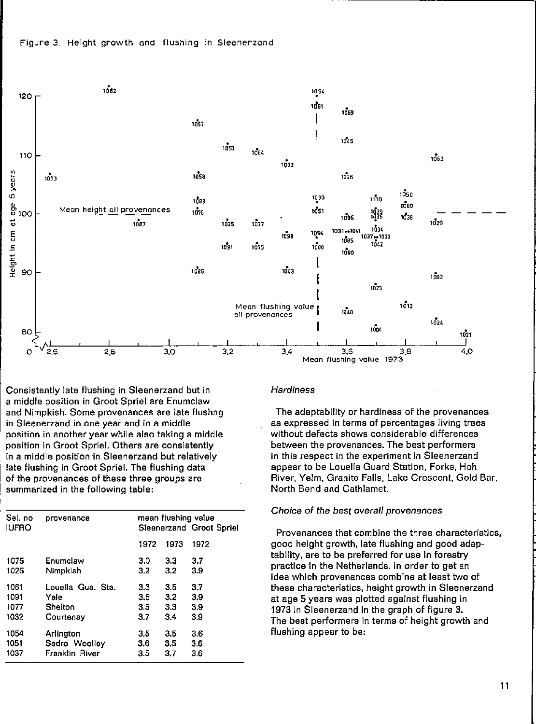

Consistently late flushing in Sleenerzand but in a middle position in Groot Spriel are Enumclaw and Nimpkish. Some provenances are late flushng in Sleenerzand in one year and in a middle position in another year while also taking a middle position in Groot Spriel. Others are consistently in a middle position in Sleenerzand but relatively late flushing in Groot Spriel. The flushing data of the provenances of these three groups are summarized in the following table:

| Sel. no<br><b>IUFRO</b> | provenance        | mean flushing value<br>Sleenerzand Groot Spriel |      |      |  |  |  |
|-------------------------|-------------------|-------------------------------------------------|------|------|--|--|--|
|                         |                   | 1972                                            | 1973 | 1972 |  |  |  |
| 1075                    | Enumclaw          | 3.0                                             | 3.3  | 3.7  |  |  |  |
| 1025                    | Nimpklsh          | 3.2                                             | 3.2  | 3.9  |  |  |  |
| 1061                    | Louella Gua. Sta. | 3.3                                             | 3.5  | 3.7  |  |  |  |
| 1091                    | Yale              | 3.6                                             | 3.2  | 39   |  |  |  |
| 1077                    | Shelton           | 3.5                                             | 3.3  | 3.9  |  |  |  |
| 1032                    | Courtenay         | 3.7                                             | 3.4  | 3.9  |  |  |  |
| 1054                    | Arlington         | 3.5                                             | 3.5  | 3.6  |  |  |  |
| 1051                    | Sedro Woolley     | 3.6                                             | 3.5  | 3.6  |  |  |  |
| 1037                    | Franklin River    | 3.5                                             | 37   | 3.6  |  |  |  |
|                         |                   |                                                 |      |      |  |  |  |

#### **Hardiness**

The adaptability or hardiness of the provenances as expressed in terms of percentages living trees without defects shows considerable differences between the provenances. The best performers in this respect in the experiment in Sleenerzand appear to be Louella Guard Station, Forks, Hoh River, Yelm, Granite Falls, Lake Crescent, Gold Bar, North Bend and Cathlamet.

### Choice of the best overall provenances

Provenances that combine the three characteristics, good height growth, late flushing and good adaptability, are to be preferred for use in forestry practice in the Netherlands. In order to get an idea which provenances combine at least two of these characteristics, height growth in Sleenerzand at age 5 years was plotted against flushing in 1973 in Sleenerzand in the graph of figure 3. The best performers in terms of height growth and flushing appear to be: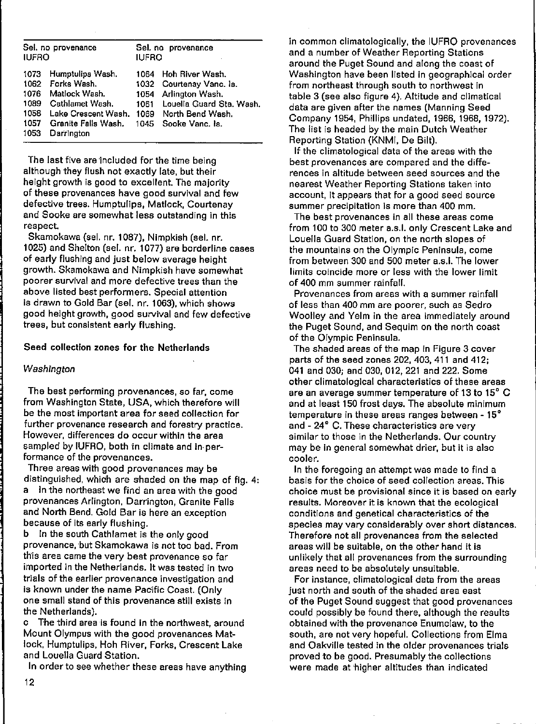| Sel, no provenance<br><b>IUFRO</b>                               |                                                                                                                  | Sel, no provenance<br><b>IUFRO</b> |                                                                                                                                                       |  |  |  |  |
|------------------------------------------------------------------|------------------------------------------------------------------------------------------------------------------|------------------------------------|-------------------------------------------------------------------------------------------------------------------------------------------------------|--|--|--|--|
| 1073<br>1062 Forks Wash.<br>1076<br>1089<br>1058<br>1057<br>1053 | Humptulips Wash.<br>Matlock Wash.<br>Cathlamet Wash.<br>Lake Crescent Wash.<br>Granite Falls Wash.<br>Darrington | 1061                               | 1064 Hoh River Wash.<br>1032 Courtenay Vanc. ls.<br>1054 Arlington Wash.<br>Louella Guard Sta. Wash.<br>1069 North Bend Wash.<br>1045 Sooke Vanc. Is. |  |  |  |  |

The last five are included for the time being although they flush not exactly late, but their height growth is good to excellent. The majority of these provenances have good survival and few defective trees. Humptulips, Matlock, Courtenay and Sooke are somewhat less outstanding in this **respect** 

Skamokawa (sel. nr. 1087), Nimpkish (sel. nr. 1025) and Shelton (sel. nr. 1077) are borderline cases of early flushing and just below average height growth. Skamokawa and Nimpkish have somewhat **poerer survival and more defective trees than the**  above listed best performers. Special attention is drawn to Gold Bar (sel. nr. 1063), which shows good height growth, good survival and few defective trees, but consistent early flushing.

## Seed collection zones for the Netherlands

#### *Washington*

The best performing provenances, so far, come from Washington State, USA, which therefore will be the most important area for seed collection for **further provenanee research and forestry practice. However, differences do occur within the area**  sampled by IUFRO, both in climate and in per**formance of the provenances.** 

Three areas wlth good provenanees may be distinguished, which are shaded on the map of fig. 4: a In the northeast we find an area with the good provenanees Arlington, Darrington, Granite Falls and North Bend. Gold Bar is here an exception because of its early flushing.

b In the south Cathlamet is the only good provenance, but Skamokawa is not too bad. From **th'is area came the very best provenance so far**  imported in the Netherlands. It was tested in two trials of the earlier provenance investigation and is known under the name Pacific Coast. (Only one small stand of this provenance still exists in the Netherlands).

c The third area is found in the northwest, around Mount Olympus with the good provenanees Matloek, Humptulips, Hoh River, Forks, Crescent Lake and Louella Guard Station.

In order to see whether these areas have anything

in comman climatologically, the IUFRO provenanees and a number of Weather Reporting Stations around the Puget Sound and along the coast of Washington have been Iisted in geographical order from northeast through south to northwest in table 3 (see also figure 4). Altitude and climatical data are given after the names (Manning Seed Company 1954, Phillips undated, 1966, 1968, 1972). The list is headed by the main Dutch Weather Reporting Station (KNMI, De Bilt).

If the climatological data of the areas with the **best provenanees are compared and the differenees in altitude between seed saurces and the**  nearest Weather Reporting Stations taken into account, it appears that for a good seed source summer precipitation is more than 400 mm.

**The best provenanees in all these areas come**  from 100 to 300 meter a.s.l. only Crescent Lake and Louella Guard Station, on the north slopes of the mountains on the Olympic Peninsuia, come from between 300 and 500 meter a.s.l. The lower **limits caincide more or less with the lower limit**  of 400 mm summer rainfall.

**Provenanees fram areas with a summer rainfall of less than 400 mm are poarer, such as Sedro**  Woolley and Yelm in the area immediately around the Puget Sound, and Sequim on the north coast of the Olympic Peninsuia.

The shaded areas of the map in Figure 3 cover parts of the seed zones 202, 403, 411 and 412; 041 and 030; and 030, 012, 221 and 222. Some other climatologlcal characteristics of these areas are an average summer temperature of 13 to IS' C and at least 150 frost days. The absolute minimum **temperature in these areas ranges between - 15<sup>0</sup>** and - 24' C. These characteristics are very similar to those in the Netherlands. Our country may be In general somewhat drier, but it is also cooler.

In the foregoing an attempt was made to find a **basis for the choice of seed collection areas. This choice must be provisional since it is based on early**  results. Moreover it is known that the ecological **conditions and genetical characteristics of the species may vary considerably over short distances.**  Therefore not all provenances from the selected areas will be suitable, on the other hand it is unlikely that all provenanees from the surrounding areas need to be absolutely unsuitable.

**For instance, climatological data from the areas**  Just north and south of the shaded area east of the Puget Sound suggest that good provenanees could possibly be found there, although the results obtained with the provenanee Enumclaw, to the south, are not very hopeful. Collections from Elma and Oakville tested in the older provenanees trials proved to be good. Presumably the collections were made at 'higher altitudes than indicated

12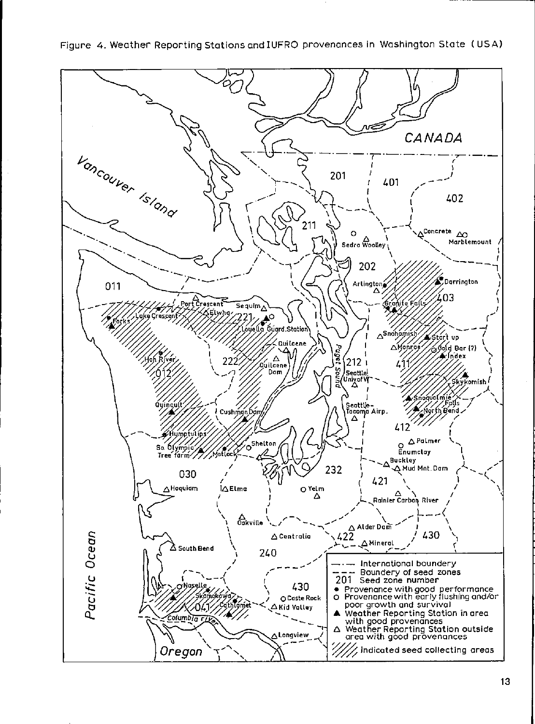